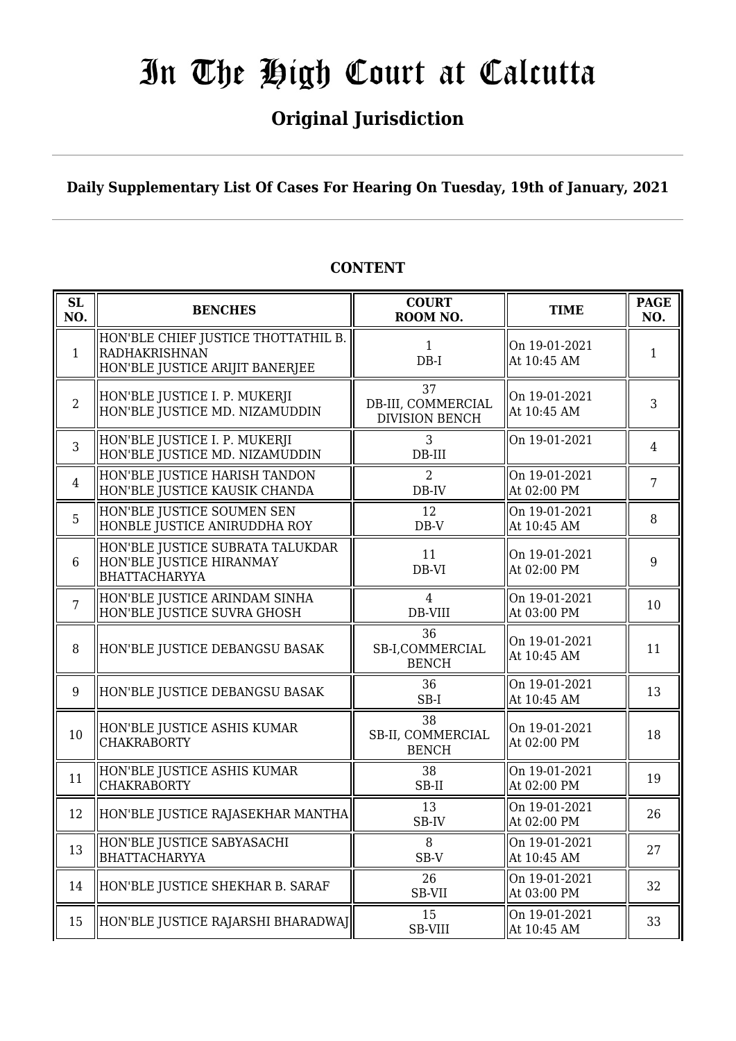## **Original Jurisdiction**

### **Daily Supplementary List Of Cases For Hearing On Tuesday, 19th of January, 2021**

| SL<br>NO.      | <b>BENCHES</b>                                                                                 | <b>COURT</b><br>ROOM NO.                          | <b>TIME</b>                  | <b>PAGE</b><br>NO. |
|----------------|------------------------------------------------------------------------------------------------|---------------------------------------------------|------------------------------|--------------------|
| $\mathbf{1}$   | HON'BLE CHIEF JUSTICE THOTTATHIL B.<br><b>RADHAKRISHNAN</b><br>HON'BLE JUSTICE ARIJIT BANERJEE | $\mathbf{1}$<br>$DB-I$                            | On 19-01-2021<br>At 10:45 AM | $\mathbf{1}$       |
| $\overline{2}$ | HON'BLE JUSTICE I. P. MUKERJI<br>HON'BLE JUSTICE MD. NIZAMUDDIN                                | 37<br>DB-III, COMMERCIAL<br><b>DIVISION BENCH</b> | On 19-01-2021<br>At 10:45 AM | 3                  |
| $\overline{3}$ | HON'BLE JUSTICE I. P. MUKERJI<br>HON'BLE JUSTICE MD. NIZAMUDDIN                                | 3<br>$DB-III$                                     | On 19-01-2021                | $\overline{4}$     |
| $\overline{4}$ | HON'BLE JUSTICE HARISH TANDON<br>HON'BLE JUSTICE KAUSIK CHANDA                                 | $\overline{2}$<br>DB-IV                           | On 19-01-2021<br>At 02:00 PM | $\overline{7}$     |
| 5              | HON'BLE JUSTICE SOUMEN SEN<br>HONBLE JUSTICE ANIRUDDHA ROY                                     | 12<br>$DB-V$                                      | On 19-01-2021<br>At 10:45 AM | 8                  |
| $6\phantom{1}$ | HON'BLE JUSTICE SUBRATA TALUKDAR<br>HON'BLE JUSTICE HIRANMAY<br><b>BHATTACHARYYA</b>           | 11<br>DB-VI                                       | On 19-01-2021<br>At 02:00 PM | 9                  |
| $\overline{7}$ | HON'BLE JUSTICE ARINDAM SINHA<br>HON'BLE JUSTICE SUVRA GHOSH                                   | $\overline{4}$<br>DB-VIII                         | On 19-01-2021<br>At 03:00 PM | 10                 |
| 8              | HON'BLE JUSTICE DEBANGSU BASAK                                                                 | 36<br>SB-I,COMMERCIAL<br><b>BENCH</b>             | On 19-01-2021<br>At 10:45 AM | 11                 |
| 9              | HON'BLE JUSTICE DEBANGSU BASAK                                                                 | 36<br>$SB-I$                                      | On 19-01-2021<br>At 10:45 AM | 13                 |
| 10             | HON'BLE JUSTICE ASHIS KUMAR<br><b>CHAKRABORTY</b>                                              | 38<br>SB-II, COMMERCIAL<br><b>BENCH</b>           | On 19-01-2021<br>At 02:00 PM | 18                 |
| 11             | HON'BLE JUSTICE ASHIS KUMAR<br><b>CHAKRABORTY</b>                                              | 38<br>SB-II                                       | On 19-01-2021<br>At 02:00 PM | 19                 |
| 12             | HON'BLE JUSTICE RAJASEKHAR MANTHA                                                              | 13<br>SB-IV                                       | On 19-01-2021<br>At 02:00 PM | 26                 |
| 13             | HON'BLE JUSTICE SABYASACHI<br><b>BHATTACHARYYA</b>                                             | 8<br>SB-V                                         | On 19-01-2021<br>At 10:45 AM | 27                 |
| 14             | HON'BLE JUSTICE SHEKHAR B. SARAF                                                               | 26<br><b>SB-VII</b>                               | On 19-01-2021<br>At 03:00 PM | 32                 |
| 15             | HON'BLE JUSTICE RAJARSHI BHARADWAJ                                                             | 15<br><b>SB-VIII</b>                              | On 19-01-2021<br>At 10:45 AM | 33                 |

### **CONTENT**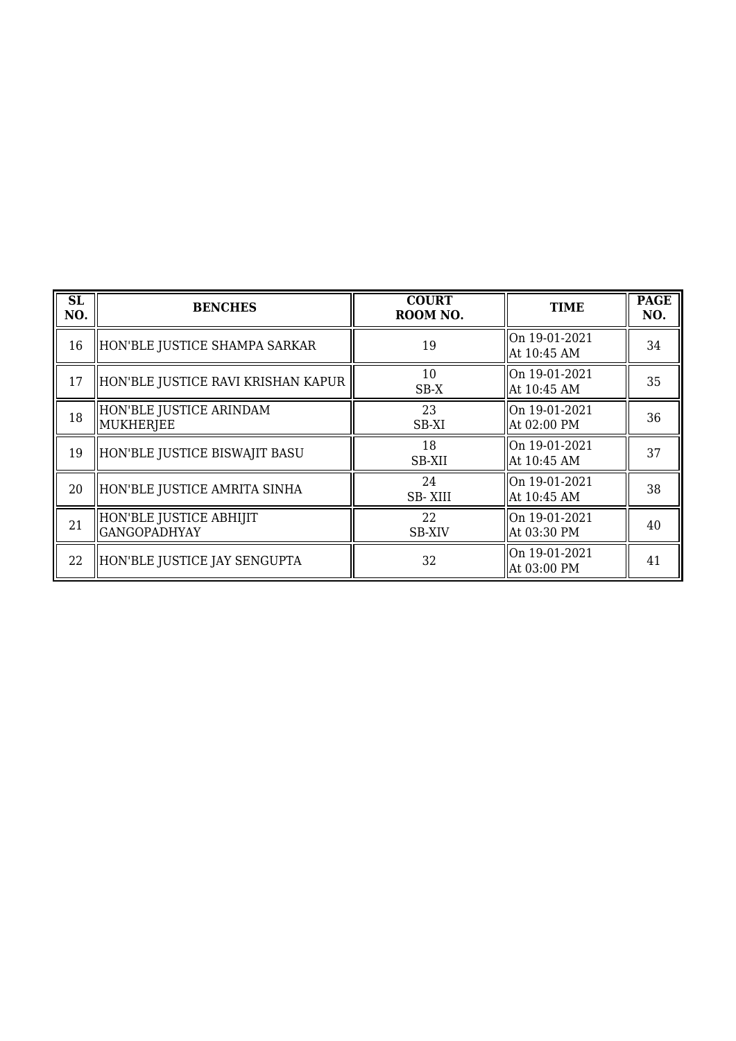| SL<br>NO. | <b>BENCHES</b>                                 | <b>COURT</b><br>ROOM NO. | <b>TIME</b>                  | <b>PAGE</b><br>NO. |
|-----------|------------------------------------------------|--------------------------|------------------------------|--------------------|
| 16        | HON'BLE JUSTICE SHAMPA SARKAR                  | 19                       | On 19-01-2021<br>At 10:45 AM | 34                 |
| 17        | HON'BLE JUSTICE RAVI KRISHAN KAPUR             | 10<br>$SB-X$             | On 19-01-2021<br>At 10:45 AM | 35                 |
| 18        | HON'BLE JUSTICE ARINDAM<br>  MUKHERJEE         | 23<br>SB-XI              | On 19-01-2021<br>At 02:00 PM | 36                 |
| 19        | HON'BLE JUSTICE BISWAJIT BASU                  | 18<br>SB-XII             | On 19-01-2021<br>At 10:45 AM | 37                 |
| 20        | HON'BLE JUSTICE AMRITA SINHA                   | 24<br><b>SB-XIII</b>     | On 19-01-2021<br>At 10:45 AM | 38                 |
| 21        | HON'BLE JUSTICE ABHIJIT<br><b>GANGOPADHYAY</b> | 22<br><b>SB-XIV</b>      | On 19-01-2021<br>At 03:30 PM | 40                 |
| 22        | HON'BLE JUSTICE JAY SENGUPTA                   | 32                       | On 19-01-2021<br>At 03:00 PM | 41                 |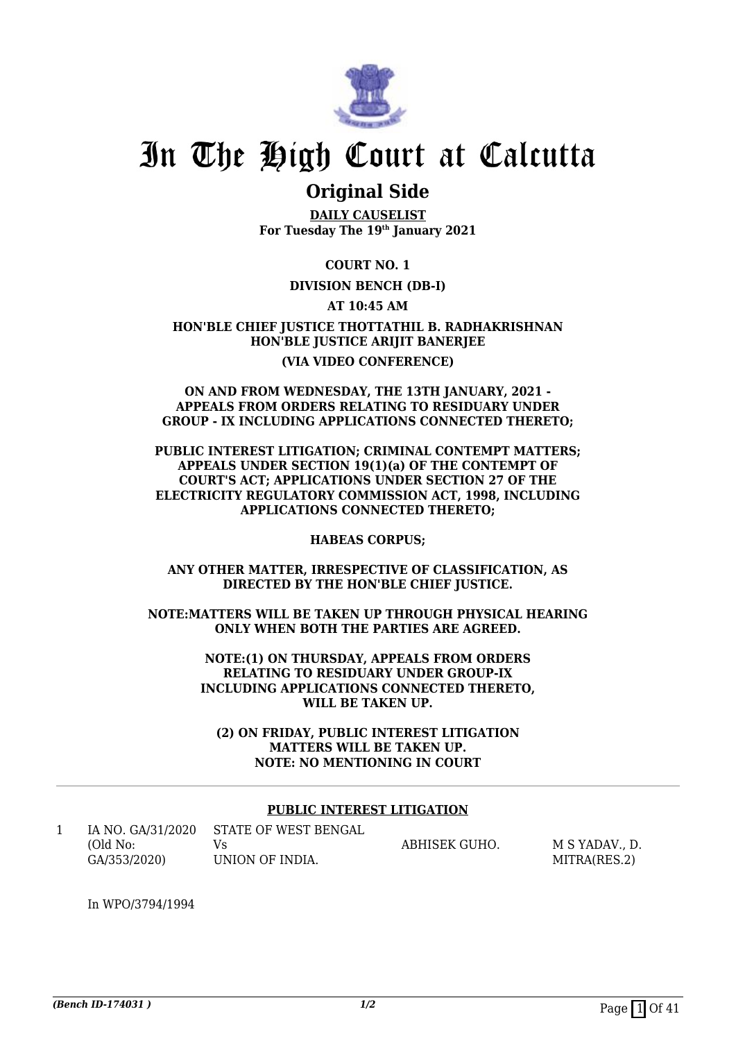

### **Original Side**

**DAILY CAUSELIST For Tuesday The 19th January 2021**

**COURT NO. 1**

### **DIVISION BENCH (DB-I)**

**AT 10:45 AM**

**HON'BLE CHIEF JUSTICE THOTTATHIL B. RADHAKRISHNAN HON'BLE JUSTICE ARIJIT BANERJEE (VIA VIDEO CONFERENCE)**

#### **ON AND FROM WEDNESDAY, THE 13TH JANUARY, 2021 - APPEALS FROM ORDERS RELATING TO RESIDUARY UNDER GROUP - IX INCLUDING APPLICATIONS CONNECTED THERETO;**

**PUBLIC INTEREST LITIGATION; CRIMINAL CONTEMPT MATTERS; APPEALS UNDER SECTION 19(1)(a) OF THE CONTEMPT OF COURT'S ACT; APPLICATIONS UNDER SECTION 27 OF THE ELECTRICITY REGULATORY COMMISSION ACT, 1998, INCLUDING APPLICATIONS CONNECTED THERETO;**

**HABEAS CORPUS;**

**ANY OTHER MATTER, IRRESPECTIVE OF CLASSIFICATION, AS DIRECTED BY THE HON'BLE CHIEF JUSTICE.**

**NOTE:MATTERS WILL BE TAKEN UP THROUGH PHYSICAL HEARING ONLY WHEN BOTH THE PARTIES ARE AGREED.**

> **NOTE:(1) ON THURSDAY, APPEALS FROM ORDERS RELATING TO RESIDUARY UNDER GROUP-IX INCLUDING APPLICATIONS CONNECTED THERETO, WILL BE TAKEN UP.**

**(2) ON FRIDAY, PUBLIC INTEREST LITIGATION MATTERS WILL BE TAKEN UP. NOTE: NO MENTIONING IN COURT**

#### **PUBLIC INTEREST LITIGATION**

| IA NO. GA/31/2020 | STATE OF WEST BENGAL |               |              |
|-------------------|----------------------|---------------|--------------|
| (Old No:          |                      | ABHISEK GUHO. | M S YADAV D. |
| GA/353/2020)      | UNION OF INDIA.      |               | MITRA(RES.2) |

In WPO/3794/1994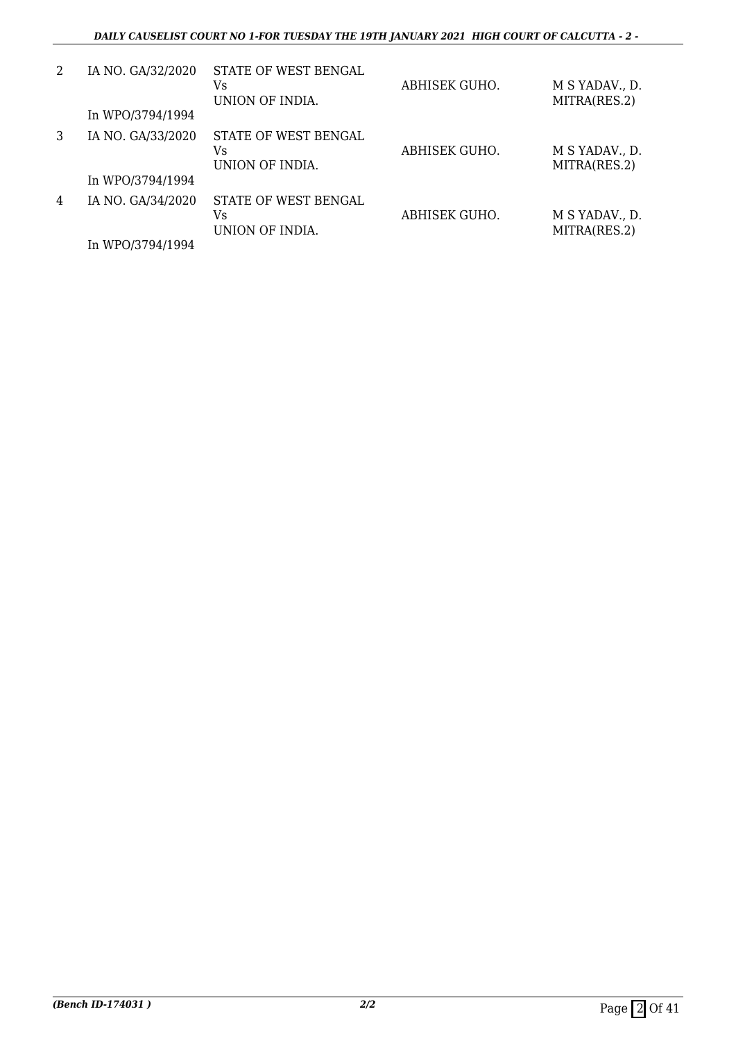| 2 | IA NO. GA/32/2020<br>In WPO/3794/1994 | STATE OF WEST BENGAL<br>Vs<br>UNION OF INDIA. | ABHISEK GUHO. | M S YADAV., D.<br>MITRA(RES.2) |
|---|---------------------------------------|-----------------------------------------------|---------------|--------------------------------|
| 3 | IA NO. GA/33/2020<br>In WPO/3794/1994 | STATE OF WEST BENGAL<br>Vs<br>UNION OF INDIA. | ABHISEK GUHO. | M S YADAV., D.<br>MITRA(RES.2) |
| 4 | IA NO. GA/34/2020<br>In WPO/3794/1994 | STATE OF WEST BENGAL<br>Vs<br>UNION OF INDIA. | ABHISEK GUHO. | M S YADAV., D.<br>MITRA(RES.2) |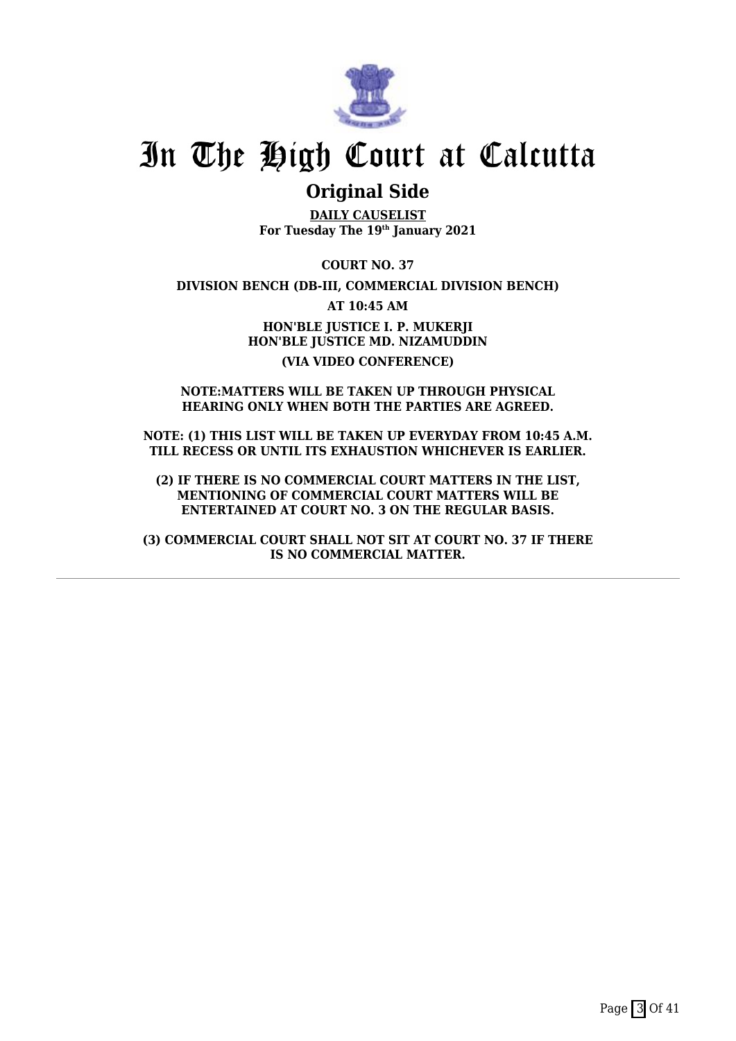

### **Original Side**

**DAILY CAUSELIST For Tuesday The 19th January 2021**

**COURT NO. 37**

**DIVISION BENCH (DB-III, COMMERCIAL DIVISION BENCH)**

**AT 10:45 AM**

**HON'BLE JUSTICE I. P. MUKERJI HON'BLE JUSTICE MD. NIZAMUDDIN (VIA VIDEO CONFERENCE)**

#### **NOTE:MATTERS WILL BE TAKEN UP THROUGH PHYSICAL HEARING ONLY WHEN BOTH THE PARTIES ARE AGREED.**

**NOTE: (1) THIS LIST WILL BE TAKEN UP EVERYDAY FROM 10:45 A.M. TILL RECESS OR UNTIL ITS EXHAUSTION WHICHEVER IS EARLIER.**

**(2) IF THERE IS NO COMMERCIAL COURT MATTERS IN THE LIST, MENTIONING OF COMMERCIAL COURT MATTERS WILL BE ENTERTAINED AT COURT NO. 3 ON THE REGULAR BASIS.**

**(3) COMMERCIAL COURT SHALL NOT SIT AT COURT NO. 37 IF THERE IS NO COMMERCIAL MATTER.**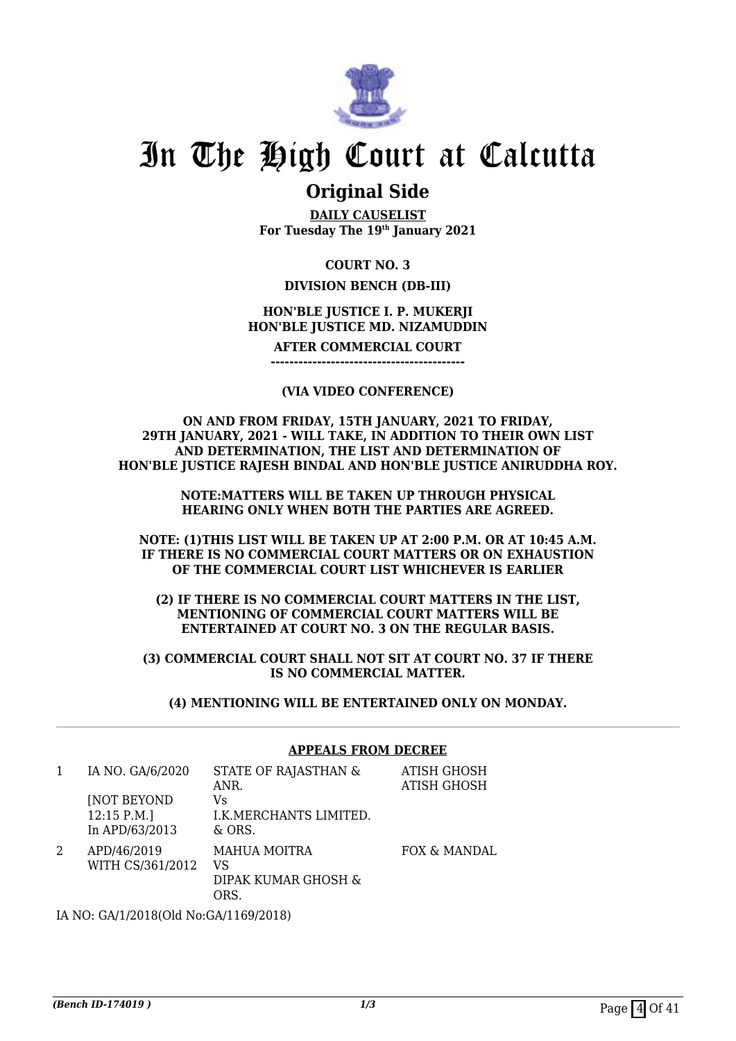

### **Original Side**

**DAILY CAUSELIST For Tuesday The 19th January 2021**

### **COURT NO. 3**

### **DIVISION BENCH (DB-III)**

### **HON'BLE JUSTICE I. P. MUKERJI HON'BLE JUSTICE MD. NIZAMUDDIN**

**AFTER COMMERCIAL COURT**

**------------------------------------------**

#### **(VIA VIDEO CONFERENCE)**

**ON AND FROM FRIDAY, 15TH JANUARY, 2021 TO FRIDAY, 29TH JANUARY, 2021 - WILL TAKE, IN ADDITION TO THEIR OWN LIST AND DETERMINATION, THE LIST AND DETERMINATION OF HON'BLE JUSTICE RAJESH BINDAL AND HON'BLE JUSTICE ANIRUDDHA ROY.**

> **NOTE:MATTERS WILL BE TAKEN UP THROUGH PHYSICAL HEARING ONLY WHEN BOTH THE PARTIES ARE AGREED.**

**NOTE: (1)THIS LIST WILL BE TAKEN UP AT 2:00 P.M. OR AT 10:45 A.M. IF THERE IS NO COMMERCIAL COURT MATTERS OR ON EXHAUSTION OF THE COMMERCIAL COURT LIST WHICHEVER IS EARLIER**

**(2) IF THERE IS NO COMMERCIAL COURT MATTERS IN THE LIST, MENTIONING OF COMMERCIAL COURT MATTERS WILL BE ENTERTAINED AT COURT NO. 3 ON THE REGULAR BASIS.**

**(3) COMMERCIAL COURT SHALL NOT SIT AT COURT NO. 37 IF THERE IS NO COMMERCIAL MATTER.**

**(4) MENTIONING WILL BE ENTERTAINED ONLY ON MONDAY.**

**APPEALS FROM DECREE**

#### 1 IA NO. GA/6/2020 [NOT BEYOND 12:15 P.M.] In APD/63/2013 STATE OF RAJASTHAN & ANR.  $V<sub>c</sub>$ I.K.MERCHANTS LIMITED. & ORS. ATISH GHOSH ATISH GHOSH 2 APD/46/2019 WITH CS/361/2012 MAHUA MOITRA VS DIPAK KUMAR GHOSH & ORS. FOX & MANDAL

IA NO: GA/1/2018(Old No:GA/1169/2018)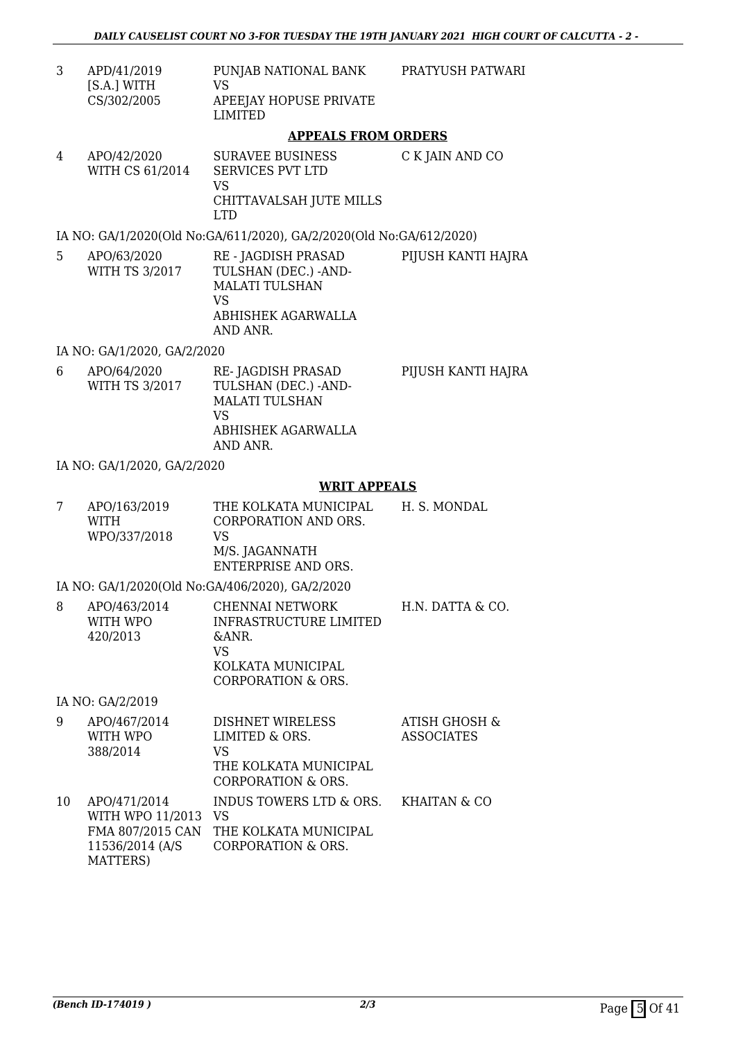PRATYUSH PATWARI

3 APD/41/2019 [S.A.] WITH CS/302/2005 PUNJAB NATIONAL BANK VS APEEJAY HOPUSE PRIVATE LIMITED

### **APPEALS FROM ORDERS**

4 APO/42/2020 WITH CS 61/2014 SURAVEE BUSINESS SERVICES PVT LTD VS CHITTAVALSAH JUTE MILLS LTD C K JAIN AND CO

### IA NO: GA/1/2020(Old No:GA/611/2020), GA/2/2020(Old No:GA/612/2020)

5 APO/63/2020 WITH TS 3/2017 RE - JAGDISH PRASAD TULSHAN (DEC.) -AND-MALATI TULSHAN VS ABHISHEK AGARWALLA AND ANR. PIJUSH KANTI HAJRA

#### IA NO: GA/1/2020, GA/2/2020

6 APO/64/2020 WITH TS 3/2017 RE- JAGDISH PRASAD TULSHAN (DEC.) -AND-MALATI TULSHAN VS ABHISHEK AGARWALLA AND ANR. PIJUSH KANTI HAJRA

### IA NO: GA/1/2020, GA/2/2020

### **WRIT APPEALS**

7 APO/163/2019 WITH WPO/337/2018 THE KOLKATA MUNICIPAL CORPORATION AND ORS. VS M/S. JAGANNATH ENTERPRISE AND ORS. H. S. MONDAL

### IA NO: GA/1/2020(Old No:GA/406/2020), GA/2/2020

8 APO/463/2014 WITH WPO 420/2013 CHENNAI NETWORK INFRASTRUCTURE LIMITED &ANR. VS KOLKATA MUNICIPAL CORPORATION & ORS. H.N. DATTA & CO.

### IA NO: GA/2/2019

| 9  | APO/467/2014     | <b>DISHNET WIRELESS</b> | <b>ATISH GHOSH &amp;</b> |
|----|------------------|-------------------------|--------------------------|
|    | WITH WPO         | LIMITED & ORS.          | <b>ASSOCIATES</b>        |
|    | 388/2014         | VS                      |                          |
|    |                  | THE KOLKATA MUNICIPAL   |                          |
|    |                  | CORPORATION & ORS.      |                          |
| 10 | APO/471/2014     | INDUS TOWERS LTD & ORS. | KHAITAN & CO             |
|    | WITH WPO 11/2013 | <b>VS</b>               |                          |
|    | FMA 807/2015 CAN | THE KOLKATA MUNICIPAL   |                          |
|    | 11536/2014 (A/S) | CORPORATION & ORS.      |                          |
|    | MATTERS)         |                         |                          |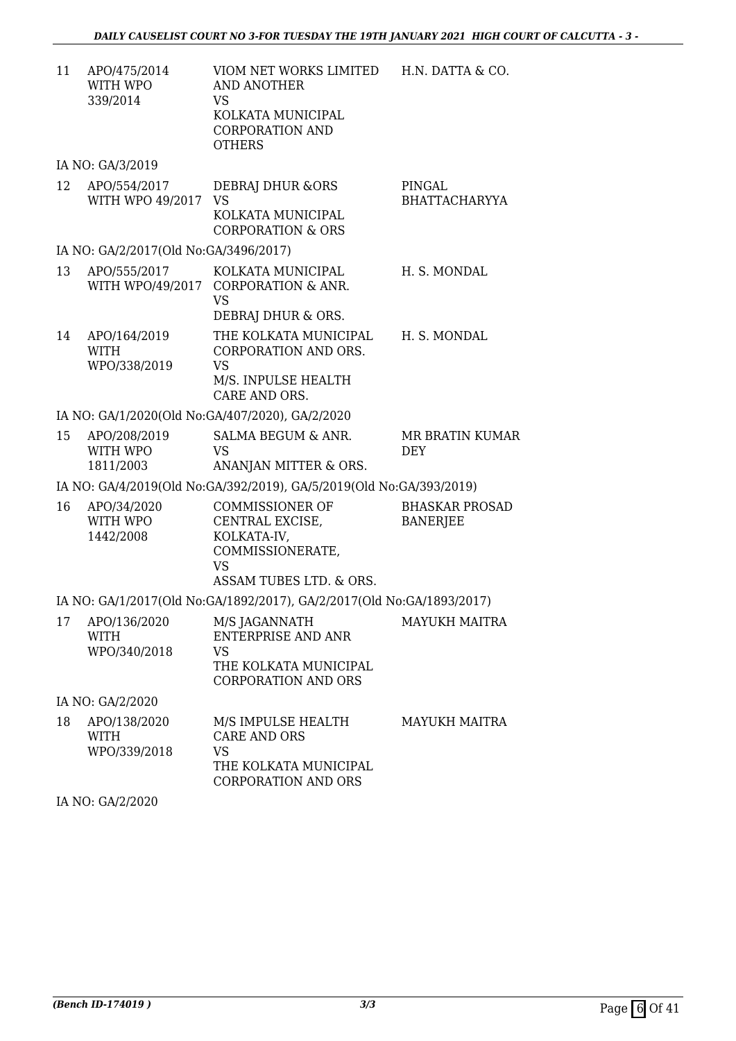| 11 | APO/475/2014<br>WITH WPO<br>339/2014        | VIOM NET WORKS LIMITED<br><b>AND ANOTHER</b><br><b>VS</b><br>KOLKATA MUNICIPAL<br><b>CORPORATION AND</b><br><b>OTHERS</b> | H.N. DATTA & CO.                         |
|----|---------------------------------------------|---------------------------------------------------------------------------------------------------------------------------|------------------------------------------|
|    | IA NO: GA/3/2019                            |                                                                                                                           |                                          |
| 12 | APO/554/2017<br>WITH WPO 49/2017            | <b>DEBRAJ DHUR &amp;ORS</b><br><b>VS</b><br>KOLKATA MUNICIPAL<br><b>CORPORATION &amp; ORS</b>                             | PINGAL<br><b>BHATTACHARYYA</b>           |
|    | IA NO: GA/2/2017(Old No:GA/3496/2017)       |                                                                                                                           |                                          |
| 13 | APO/555/2017<br>WITH WPO/49/2017            | KOLKATA MUNICIPAL<br>CORPORATION & ANR.<br><b>VS</b><br>DEBRAJ DHUR & ORS.                                                | H. S. MONDAL                             |
| 14 | APO/164/2019<br><b>WITH</b><br>WPO/338/2019 | THE KOLKATA MUNICIPAL<br>CORPORATION AND ORS.<br><b>VS</b><br>M/S. INPULSE HEALTH<br>CARE AND ORS.                        | H. S. MONDAL                             |
|    |                                             | IA NO: GA/1/2020(Old No:GA/407/2020), GA/2/2020                                                                           |                                          |
| 15 | APO/208/2019<br>WITH WPO<br>1811/2003       | SALMA BEGUM & ANR.<br><b>VS</b><br>ANANJAN MITTER & ORS.                                                                  | <b>MR BRATIN KUMAR</b><br>DEY            |
|    |                                             | IA NO: GA/4/2019(Old No:GA/392/2019), GA/5/2019(Old No:GA/393/2019)                                                       |                                          |
| 16 | APO/34/2020<br>WITH WPO<br>1442/2008        | <b>COMMISSIONER OF</b><br>CENTRAL EXCISE,<br>KOLKATA-IV,<br>COMMISSIONERATE,<br><b>VS</b><br>ASSAM TUBES LTD. & ORS.      | <b>BHASKAR PROSAD</b><br><b>BANERJEE</b> |
|    |                                             | IA NO: GA/1/2017(Old No:GA/1892/2017), GA/2/2017(Old No:GA/1893/2017)                                                     |                                          |
| 17 | APO/136/2020<br><b>WITH</b><br>WPO/340/2018 | M/S JAGANNATH<br><b>ENTERPRISE AND ANR</b><br><b>VS</b><br>THE KOLKATA MUNICIPAL<br><b>CORPORATION AND ORS</b>            | <b>MAYUKH MAITRA</b>                     |
|    | IA NO: GA/2/2020                            |                                                                                                                           |                                          |
| 18 | APO/138/2020<br><b>WITH</b><br>WPO/339/2018 | M/S IMPULSE HEALTH<br><b>CARE AND ORS</b><br><b>VS</b><br>THE KOLKATA MUNICIPAL<br>CORPORATION AND ORS                    | <b>MAYUKH MAITRA</b>                     |

IA NO: GA/2/2020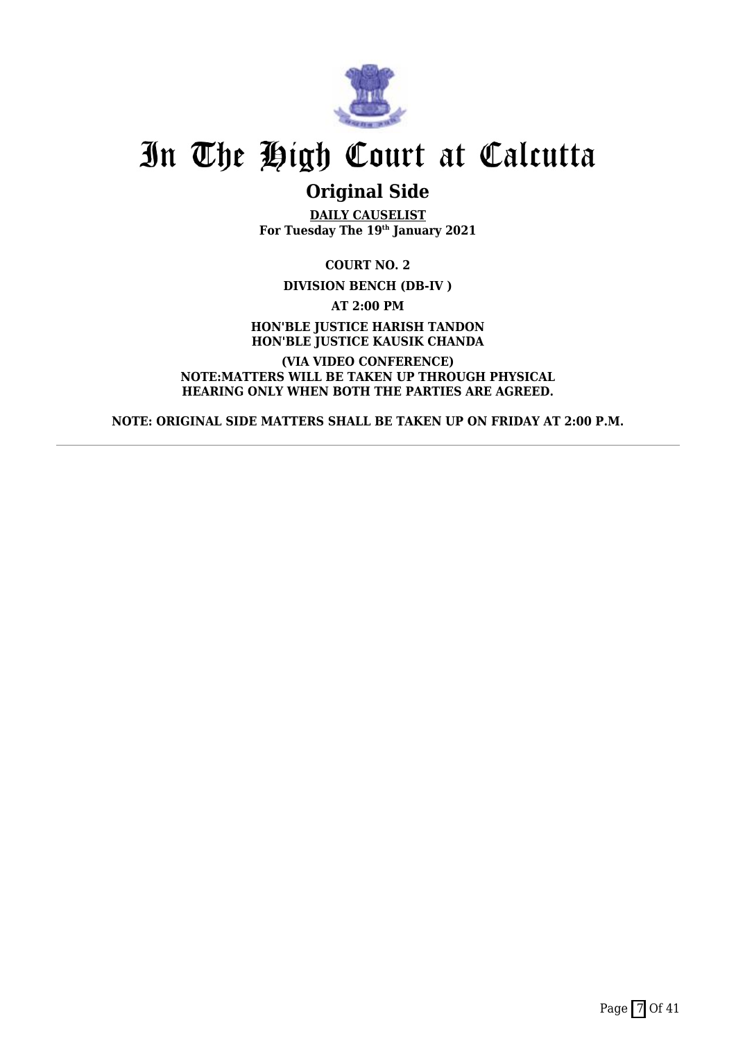

### **Original Side**

**DAILY CAUSELIST For Tuesday The 19th January 2021**

**COURT NO. 2**

**DIVISION BENCH (DB-IV )**

**AT 2:00 PM**

**HON'BLE JUSTICE HARISH TANDON HON'BLE JUSTICE KAUSIK CHANDA**

**(VIA VIDEO CONFERENCE) NOTE:MATTERS WILL BE TAKEN UP THROUGH PHYSICAL HEARING ONLY WHEN BOTH THE PARTIES ARE AGREED.**

**NOTE: ORIGINAL SIDE MATTERS SHALL BE TAKEN UP ON FRIDAY AT 2:00 P.M.**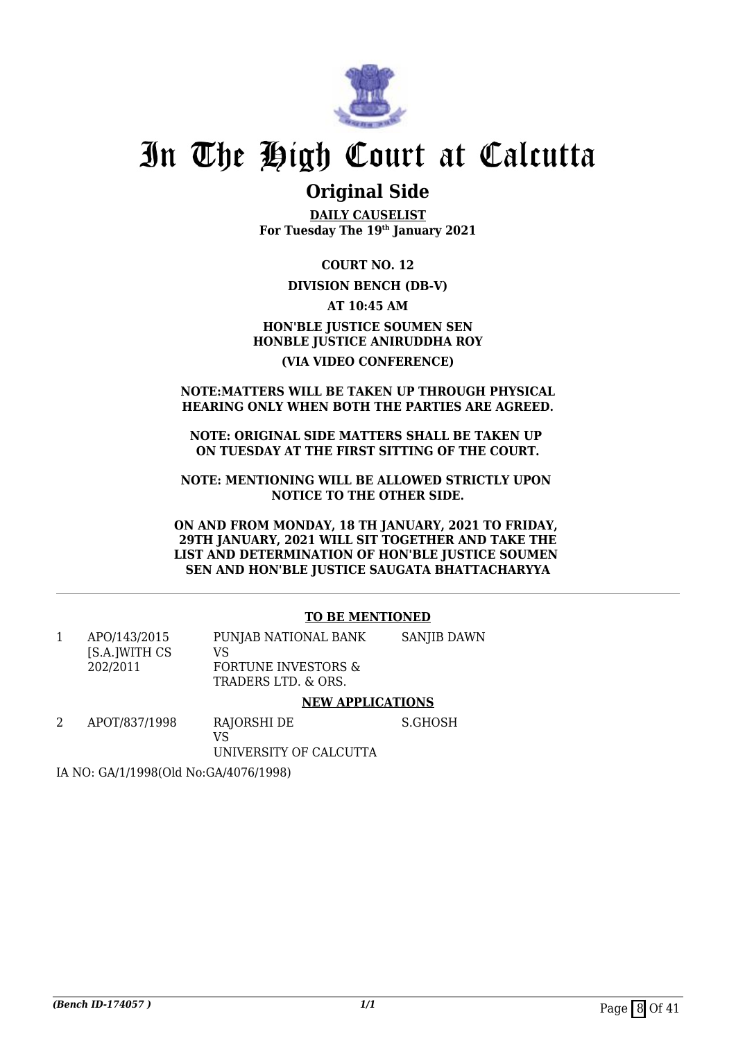

### **Original Side**

**DAILY CAUSELIST For Tuesday The 19th January 2021**

**COURT NO. 12**

### **DIVISION BENCH (DB-V)**

**AT 10:45 AM**

### **HON'BLE JUSTICE SOUMEN SEN HONBLE JUSTICE ANIRUDDHA ROY (VIA VIDEO CONFERENCE)**

### **NOTE:MATTERS WILL BE TAKEN UP THROUGH PHYSICAL HEARING ONLY WHEN BOTH THE PARTIES ARE AGREED.**

**NOTE: ORIGINAL SIDE MATTERS SHALL BE TAKEN UP ON TUESDAY AT THE FIRST SITTING OF THE COURT.**

**NOTE: MENTIONING WILL BE ALLOWED STRICTLY UPON NOTICE TO THE OTHER SIDE.**

**ON AND FROM MONDAY, 18 TH JANUARY, 2021 TO FRIDAY, 29TH JANUARY, 2021 WILL SIT TOGETHER AND TAKE THE LIST AND DETERMINATION OF HON'BLE JUSTICE SOUMEN SEN AND HON'BLE JUSTICE SAUGATA BHATTACHARYYA**

### **TO BE MENTIONED**

|                               | ****** ******^***^**^                                 |             |
|-------------------------------|-------------------------------------------------------|-------------|
| 202/2011                      | <b>FORTUNE INVESTORS &amp;</b><br>TRADERS LTD. & ORS. |             |
| APO/143/2015<br>[S.A.]WITH CS | PUNJAB NATIONAL BANK<br>VS                            | SANJIB DAWN |
|                               |                                                       |             |

#### **NEW APPLICATIONS**

2 APOT/837/1998 RAJORSHI DE VS S.GHOSH

UNIVERSITY OF CALCUTTA

IA NO: GA/1/1998(Old No:GA/4076/1998)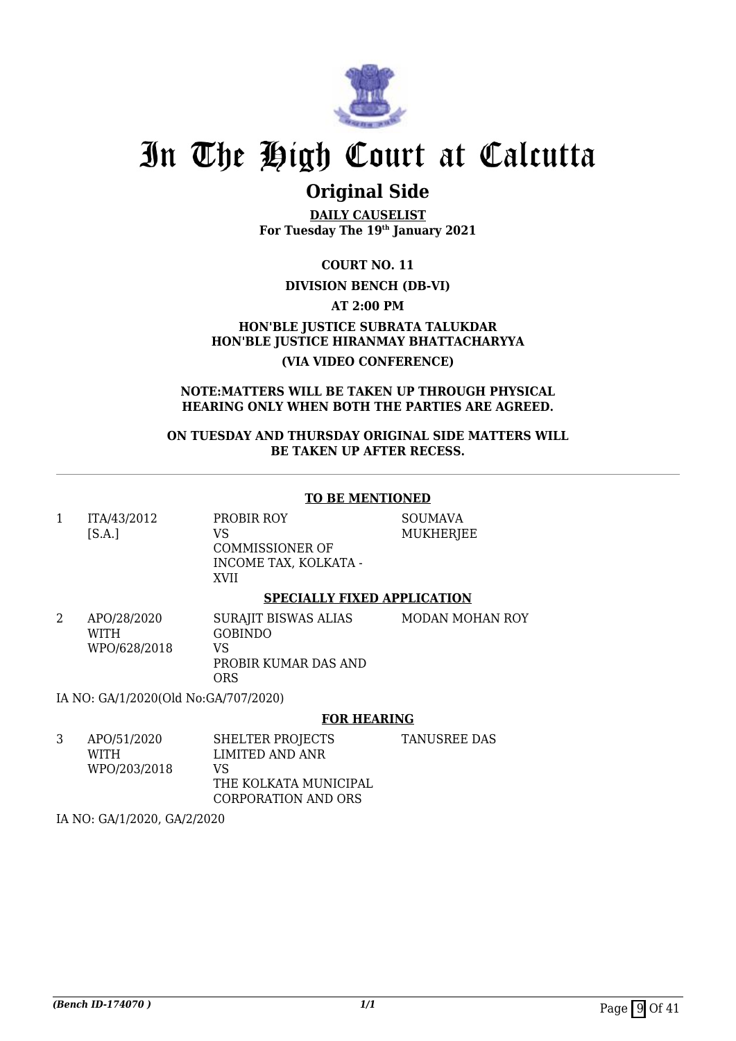

### **Original Side**

**DAILY CAUSELIST For Tuesday The 19th January 2021**

**COURT NO. 11**

### **DIVISION BENCH (DB-VI)**

**AT 2:00 PM**

**HON'BLE JUSTICE SUBRATA TALUKDAR HON'BLE JUSTICE HIRANMAY BHATTACHARYYA (VIA VIDEO CONFERENCE)**

#### **NOTE:MATTERS WILL BE TAKEN UP THROUGH PHYSICAL HEARING ONLY WHEN BOTH THE PARTIES ARE AGREED.**

**ON TUESDAY AND THURSDAY ORIGINAL SIDE MATTERS WILL BE TAKEN UP AFTER RECESS.**

### **TO BE MENTIONED**

1 ITA/43/2012  $[S.A.]$ PROBIR ROY VS COMMISSIONER OF INCOME TAX, KOLKATA - XVII

MUKHERJEE

SOUMAVA

### **SPECIALLY FIXED APPLICATION**

2 APO/28/2020 WITH WPO/628/2018 SURAJIT BISWAS ALIAS GOBINDO VS PROBIR KUMAR DAS AND ORS MODAN MOHAN ROY

IA NO: GA/1/2020(Old No:GA/707/2020)

#### **FOR HEARING**

3 APO/51/2020 WITH WPO/203/2018 SHELTER PROJECTS LIMITED AND ANR VS THE KOLKATA MUNICIPAL CORPORATION AND ORS TANUSREE DAS

IA NO: GA/1/2020, GA/2/2020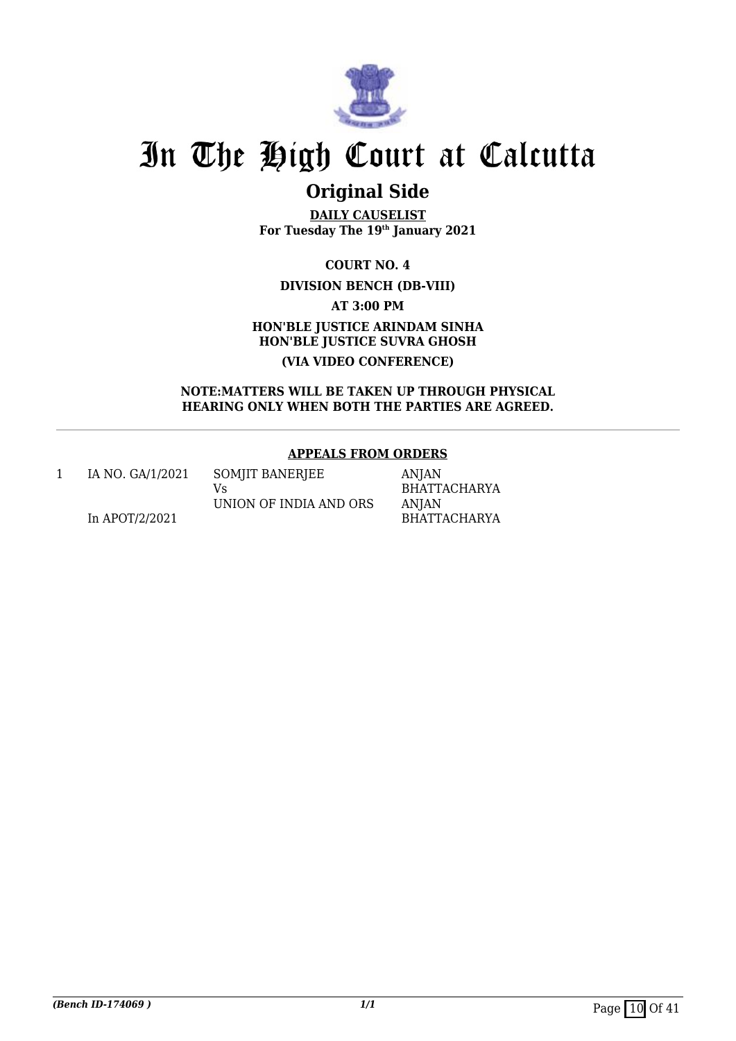

## **Original Side**

**DAILY CAUSELIST For Tuesday The 19th January 2021**

> **COURT NO. 4 DIVISION BENCH (DB-VIII)**

> > **AT 3:00 PM**

### **HON'BLE JUSTICE ARINDAM SINHA HON'BLE JUSTICE SUVRA GHOSH (VIA VIDEO CONFERENCE)**

**NOTE:MATTERS WILL BE TAKEN UP THROUGH PHYSICAL HEARING ONLY WHEN BOTH THE PARTIES ARE AGREED.**

### **APPEALS FROM ORDERS**

1 IA NO. GA/1/2021 In APOT/2/2021

SOMJIT BANERJEE Vs UNION OF INDIA AND ORS

ANJAN BHATTACHARYA ANJAN BHATTACHARYA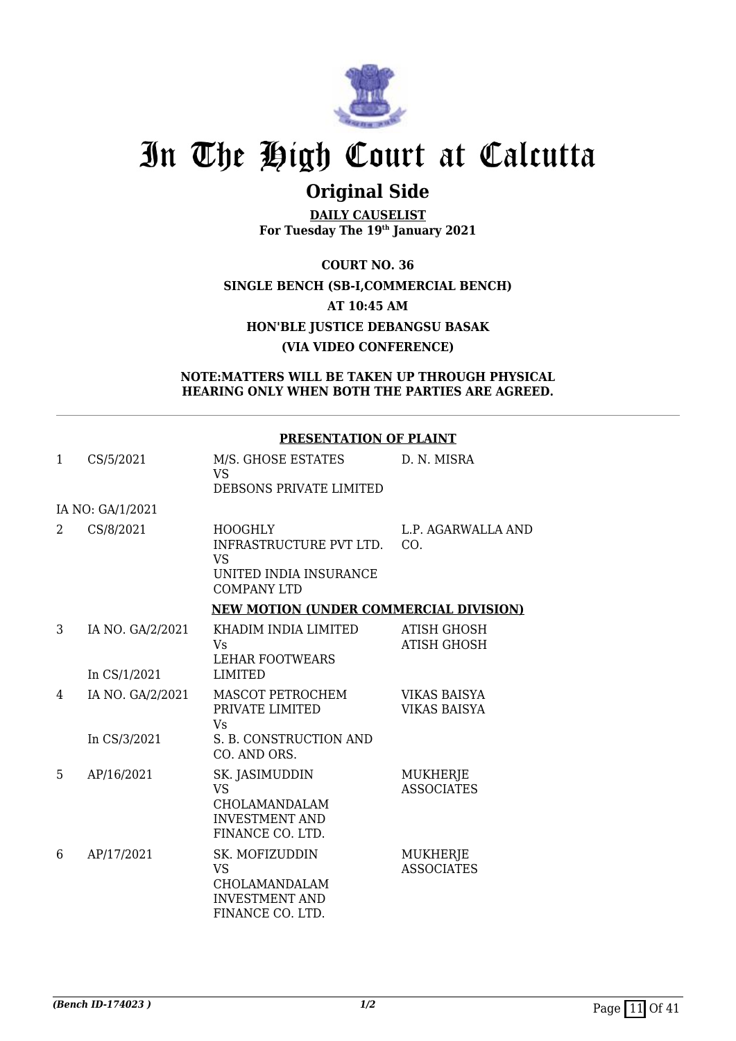

## **Original Side**

**DAILY CAUSELIST For Tuesday The 19th January 2021**

**COURT NO. 36 SINGLE BENCH (SB-I,COMMERCIAL BENCH) AT 10:45 AM HON'BLE JUSTICE DEBANGSU BASAK (VIA VIDEO CONFERENCE)**

### **NOTE:MATTERS WILL BE TAKEN UP THROUGH PHYSICAL HEARING ONLY WHEN BOTH THE PARTIES ARE AGREED.**

### **PRESENTATION OF PLAINT**

| $\mathbf{1}$ | CS/5/2021                        | M/S. GHOSE ESTATES<br><b>VS</b><br>DEBSONS PRIVATE LIMITED                                             | D. N. MISRA                                |
|--------------|----------------------------------|--------------------------------------------------------------------------------------------------------|--------------------------------------------|
|              | IA NO: GA/1/2021                 |                                                                                                        |                                            |
| 2            | CS/8/2021                        | <b>HOOGHLY</b><br>INFRASTRUCTURE PVT LTD.<br><b>VS</b><br>UNITED INDIA INSURANCE<br><b>COMPANY LTD</b> | L.P. AGARWALLA AND<br>CO.                  |
|              |                                  | <b>NEW MOTION (UNDER COMMERCIAL DIVISION)</b>                                                          |                                            |
| 3            | IA NO. GA/2/2021                 | KHADIM INDIA LIMITED<br><b>V<sub>S</sub></b><br><b>LEHAR FOOTWEARS</b>                                 | <b>ATISH GHOSH</b><br><b>ATISH GHOSH</b>   |
|              | In CS/1/2021                     | <b>LIMITED</b>                                                                                         |                                            |
| 4            | IA NO. GA/2/2021<br>In CS/3/2021 | MASCOT PETROCHEM<br>PRIVATE LIMITED<br><b>Vs</b><br>S. B. CONSTRUCTION AND                             | <b>VIKAS BAISYA</b><br><b>VIKAS BAISYA</b> |
|              |                                  | CO. AND ORS.                                                                                           |                                            |
| 5            | AP/16/2021                       | SK. JASIMUDDIN<br><b>VS</b><br>CHOLAMANDALAM<br><b>INVESTMENT AND</b><br>FINANCE CO. LTD.              | <b>MUKHERJE</b><br><b>ASSOCIATES</b>       |
| 6            | AP/17/2021                       | SK. MOFIZUDDIN<br><b>VS</b><br>CHOLAMANDALAM<br><b>INVESTMENT AND</b><br>FINANCE CO. LTD.              | <b>MUKHERJE</b><br><b>ASSOCIATES</b>       |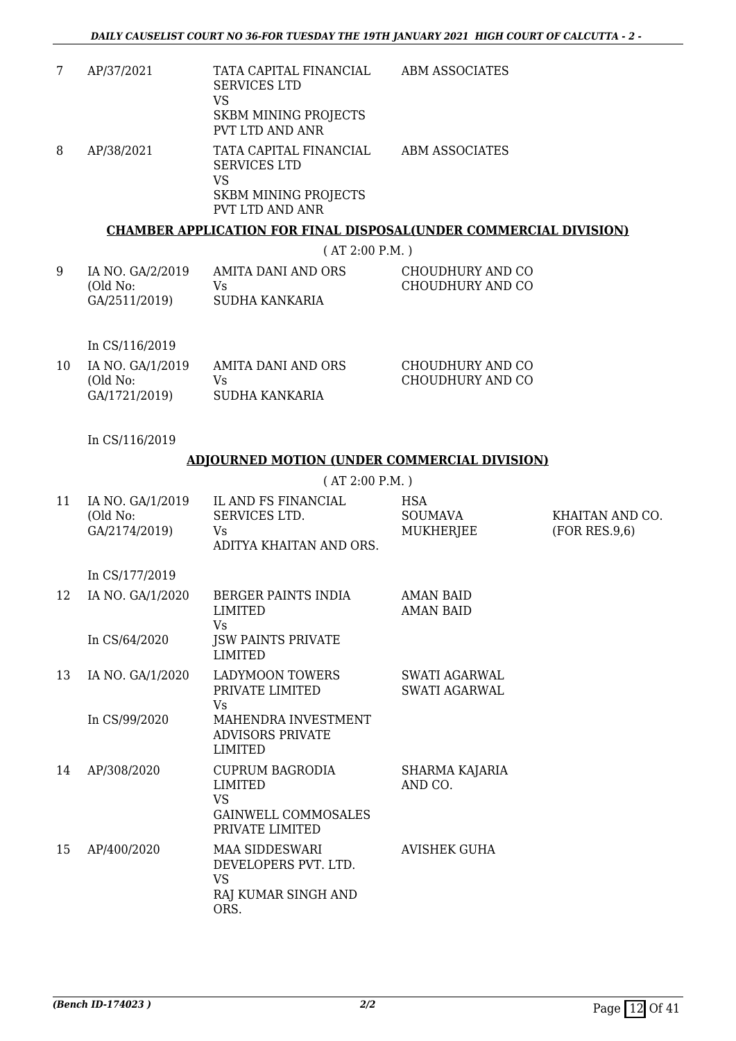7 AP/37/2021 TATA CAPITAL FINANCIAL SERVICES LTD VS SKBM MINING PROJECTS PVT LTD AND ANR ABM ASSOCIATES 8 AP/38/2021 TATA CAPITAL FINANCIAL SERVICES LTD VS SKBM MINING PROJECTS PVT LTD AND ANR ABM ASSOCIATES

### **CHAMBER APPLICATION FOR FINAL DISPOSAL(UNDER COMMERCIAL DIVISION)**

( AT 2:00 P.M. )

| IA NO. GA/2/2019<br>AMITA DANI AND ORS<br>(Old No:<br>Vs.<br>SUDHA KANKARIA<br>GA/2511/2019) | CHOUDHURY AND CO<br>CHOUDHURY AND CO |
|----------------------------------------------------------------------------------------------|--------------------------------------|
|----------------------------------------------------------------------------------------------|--------------------------------------|

In CS/116/2019

| 10 | IA NO. GA/1/2019 | AMITA DANI AND ORS | CHOUDHURY AND CO |
|----|------------------|--------------------|------------------|
|    | (Old No:         | Vs.                | CHOUDHURY AND CO |
|    | GA/1721/2019)    | SUDHA KANKARIA     |                  |

In CS/116/2019

### **ADJOURNED MOTION (UNDER COMMERCIAL DIVISION)**

( AT 2:00 P.M. )

| 11 | IA NO. GA/1/2019<br>(Old No:<br>GA/2174/2019) | IL AND FS FINANCIAL<br>SERVICES LTD.<br>Vs<br>ADITYA KHAITAN AND ORS.                                  | <b>HSA</b><br><b>SOUMAVA</b><br>MUKHERJEE | KHAITAN AND CO.<br>(FOR RES.9,6) |
|----|-----------------------------------------------|--------------------------------------------------------------------------------------------------------|-------------------------------------------|----------------------------------|
|    | In CS/177/2019                                |                                                                                                        |                                           |                                  |
| 12 | IA NO. GA/1/2020                              | BERGER PAINTS INDIA<br>LIMITED<br>Vs                                                                   | <b>AMAN BAID</b><br><b>AMAN BAID</b>      |                                  |
|    | In CS/64/2020                                 | <b>JSW PAINTS PRIVATE</b><br>LIMITED                                                                   |                                           |                                  |
| 13 | IA NO. GA/1/2020                              | <b>LADYMOON TOWERS</b><br>PRIVATE LIMITED<br>Vs                                                        | SWATI AGARWAL<br><b>SWATI AGARWAL</b>     |                                  |
|    | In CS/99/2020                                 | MAHENDRA INVESTMENT<br><b>ADVISORS PRIVATE</b><br><b>LIMITED</b>                                       |                                           |                                  |
| 14 | AP/308/2020                                   | <b>CUPRUM BAGRODIA</b><br><b>LIMITED</b><br><b>VS</b><br><b>GAINWELL COMMOSALES</b><br>PRIVATE LIMITED | SHARMA KAJARIA<br>AND CO.                 |                                  |
| 15 | AP/400/2020                                   | <b>MAA SIDDESWARI</b><br>DEVELOPERS PVT. LTD.<br><b>VS</b><br>RAJ KUMAR SINGH AND<br>ORS.              | <b>AVISHEK GUHA</b>                       |                                  |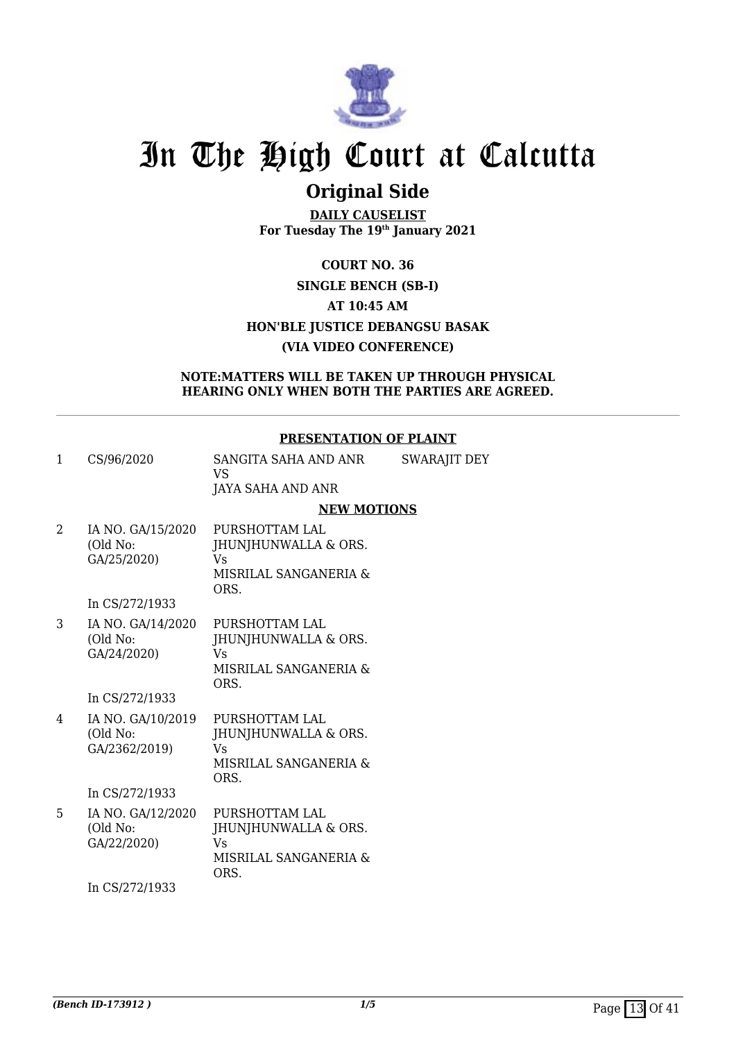

### **Original Side**

**DAILY CAUSELIST For Tuesday The 19th January 2021**

### **COURT NO. 36 SINGLE BENCH (SB-I) AT 10:45 AM HON'BLE JUSTICE DEBANGSU BASAK (VIA VIDEO CONFERENCE)**

### **NOTE:MATTERS WILL BE TAKEN UP THROUGH PHYSICAL HEARING ONLY WHEN BOTH THE PARTIES ARE AGREED.**

### **PRESENTATION OF PLAINT**

- 1 CS/96/2020 SANGITA SAHA AND ANR VS JAYA SAHA AND ANR SWARAJIT DEY **NEW MOTIONS** 2 IA NO. GA/15/2020 PURSHOTTAM LAL
- (Old No: GA/25/2020) JHUNJHUNWALLA & ORS. Vs MISRILAL SANGANERIA & ORS.

In CS/272/1933

3 IA NO. GA/14/2020 (Old No: GA/24/2020) PURSHOTTAM LAL JHUNJHUNWALLA & ORS. Vs MISRILAL SANGANERIA & ORS.

In CS/272/1933

4 IA NO. GA/10/2019 (Old No: GA/2362/2019) PURSHOTTAM LAL JHUNJHUNWALLA & ORS. Vs MISRILAL SANGANERIA & ORS.

In CS/272/1933

5 IA NO. GA/12/2020 (Old No: GA/22/2020) PURSHOTTAM LAL JHUNJHUNWALLA & ORS. Vs MISRILAL SANGANERIA & ORS.

In CS/272/1933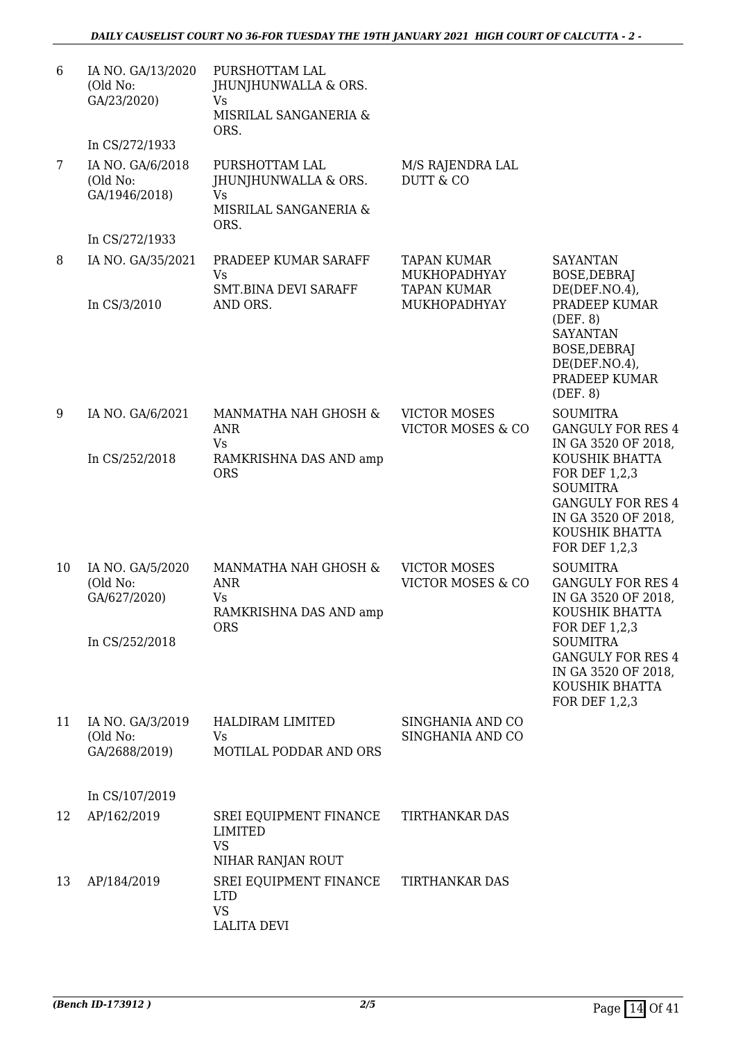| 6  | IA NO. GA/13/2020<br>(Old No:<br>GA/23/2020)                    | PURSHOTTAM LAL<br>JHUNJHUNWALLA & ORS.<br><b>Vs</b><br>MISRILAL SANGANERIA &<br>ORS. |                                                          |                                                                                                                                                 |
|----|-----------------------------------------------------------------|--------------------------------------------------------------------------------------|----------------------------------------------------------|-------------------------------------------------------------------------------------------------------------------------------------------------|
| 7  | In CS/272/1933<br>IA NO. GA/6/2018<br>(Old No:<br>GA/1946/2018) | PURSHOTTAM LAL<br>JHUNJHUNWALLA & ORS.<br><b>Vs</b><br>MISRILAL SANGANERIA &         | M/S RAJENDRA LAL<br><b>DUTT &amp; CO</b>                 |                                                                                                                                                 |
|    | In CS/272/1933                                                  | ORS.                                                                                 |                                                          |                                                                                                                                                 |
| 8  | IA NO. GA/35/2021                                               | PRADEEP KUMAR SARAFF<br>Vs<br><b>SMT.BINA DEVI SARAFF</b>                            | <b>TAPAN KUMAR</b><br>MUKHOPADHYAY<br><b>TAPAN KUMAR</b> | <b>SAYANTAN</b><br>BOSE, DEBRAJ<br>DE(DEF. NO.4)                                                                                                |
|    | In CS/3/2010                                                    | AND ORS.                                                                             | MUKHOPADHYAY                                             | PRADEEP KUMAR<br>(DEF. 8)<br><b>SAYANTAN</b><br>BOSE, DEBRAJ<br>DE(DEF. NO.4)<br>PRADEEP KUMAR<br>(DEF. 8)                                      |
| 9  | IA NO. GA/6/2021                                                | MANMATHA NAH GHOSH &<br><b>ANR</b><br>Vs                                             | <b>VICTOR MOSES</b><br><b>VICTOR MOSES &amp; CO</b>      | <b>SOUMITRA</b><br><b>GANGULY FOR RES 4</b><br>IN GA 3520 OF 2018,                                                                              |
|    | In CS/252/2018                                                  | RAMKRISHNA DAS AND amp<br><b>ORS</b>                                                 |                                                          | KOUSHIK BHATTA<br>FOR DEF 1,2,3<br><b>SOUMITRA</b><br><b>GANGULY FOR RES 4</b><br>IN GA 3520 OF 2018,<br>KOUSHIK BHATTA<br><b>FOR DEF 1,2,3</b> |
| 10 | IA NO. GA/5/2020<br>(Old No:<br>GA/627/2020)                    | MANMATHA NAH GHOSH &<br><b>ANR</b><br>Vs<br>RAMKRISHNA DAS AND amp<br><b>ORS</b>     | <b>VICTOR MOSES</b><br><b>VICTOR MOSES &amp; CO</b>      | <b>SOUMITRA</b><br><b>GANGULY FOR RES 4</b><br>IN GA 3520 OF 2018,<br>KOUSHIK BHATTA                                                            |
|    | In CS/252/2018                                                  |                                                                                      |                                                          | FOR DEF 1,2,3<br><b>SOUMITRA</b><br><b>GANGULY FOR RES 4</b><br>IN GA 3520 OF 2018,<br>KOUSHIK BHATTA<br><b>FOR DEF 1,2,3</b>                   |
| 11 | IA NO. GA/3/2019<br>(Old No:<br>GA/2688/2019)                   | <b>HALDIRAM LIMITED</b><br>Vs<br>MOTILAL PODDAR AND ORS                              | SINGHANIA AND CO<br>SINGHANIA AND CO                     |                                                                                                                                                 |
|    | In CS/107/2019                                                  |                                                                                      |                                                          |                                                                                                                                                 |
| 12 | AP/162/2019                                                     | SREI EQUIPMENT FINANCE<br>LIMITED<br><b>VS</b><br>NIHAR RANJAN ROUT                  | <b>TIRTHANKAR DAS</b>                                    |                                                                                                                                                 |
| 13 | AP/184/2019                                                     | SREI EQUIPMENT FINANCE<br><b>LTD</b><br><b>VS</b><br><b>LALITA DEVI</b>              | TIRTHANKAR DAS                                           |                                                                                                                                                 |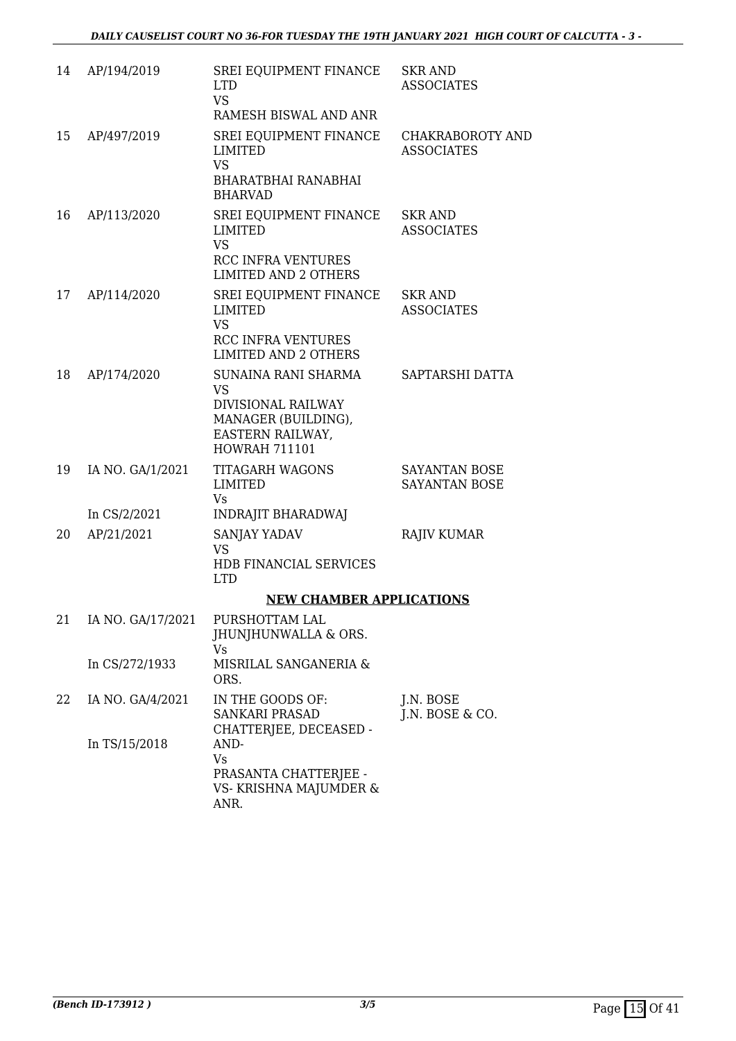| 14 | AP/194/2019       | SREI EQUIPMENT FINANCE<br><b>LTD</b><br><b>VS</b>                                     | <b>SKR AND</b><br><b>ASSOCIATES</b>          |
|----|-------------------|---------------------------------------------------------------------------------------|----------------------------------------------|
|    |                   | RAMESH BISWAL AND ANR                                                                 |                                              |
| 15 | AP/497/2019       | SREI EQUIPMENT FINANCE<br><b>LIMITED</b><br><b>VS</b>                                 | <b>CHAKRABOROTY AND</b><br><b>ASSOCIATES</b> |
|    |                   | <b>BHARATBHAI RANABHAI</b><br><b>BHARVAD</b>                                          |                                              |
| 16 | AP/113/2020       | SREI EQUIPMENT FINANCE<br><b>LIMITED</b><br><b>VS</b>                                 | <b>SKR AND</b><br><b>ASSOCIATES</b>          |
|    |                   | <b>RCC INFRA VENTURES</b><br><b>LIMITED AND 2 OTHERS</b>                              |                                              |
| 17 | AP/114/2020       | SREI EQUIPMENT FINANCE<br><b>LIMITED</b><br><b>VS</b>                                 | <b>SKR AND</b><br><b>ASSOCIATES</b>          |
|    |                   | <b>RCC INFRA VENTURES</b><br><b>LIMITED AND 2 OTHERS</b>                              |                                              |
| 18 | AP/174/2020       | SUNAINA RANI SHARMA<br><b>VS</b>                                                      | SAPTARSHI DATTA                              |
|    |                   | DIVISIONAL RAILWAY<br>MANAGER (BUILDING),<br>EASTERN RAILWAY,<br><b>HOWRAH 711101</b> |                                              |
| 19 | IA NO. GA/1/2021  | <b>TITAGARH WAGONS</b><br>LIMITED<br><b>Vs</b>                                        | SAYANTAN BOSE<br><b>SAYANTAN BOSE</b>        |
|    | In CS/2/2021      | <b>INDRAJIT BHARADWAJ</b>                                                             |                                              |
| 20 | AP/21/2021        | SANJAY YADAV<br><b>VS</b>                                                             | <b>RAJIV KUMAR</b>                           |
|    |                   | HDB FINANCIAL SERVICES<br><b>LTD</b>                                                  |                                              |
|    |                   | <b>NEW CHAMBER APPLICATIONS</b>                                                       |                                              |
| 21 | IA NO. GA/17/2021 | PURSHOTTAM LAL<br><b>JHUNJHUNWALLA &amp; ORS.</b>                                     |                                              |
|    | In CS/272/1933    | Vs<br>MISRILAL SANGANERIA &<br>ORS.                                                   |                                              |
| 22 | IA NO. GA/4/2021  | IN THE GOODS OF:<br><b>SANKARI PRASAD</b>                                             | J.N. BOSE<br>J.N. BOSE $&$ CO.               |
|    | In TS/15/2018     | CHATTERJEE, DECEASED -<br>AND-<br><b>Vs</b>                                           |                                              |
|    |                   | PRASANTA CHATTERJEE -<br>VS- KRISHNA MAJUMDER &<br>ANR.                               |                                              |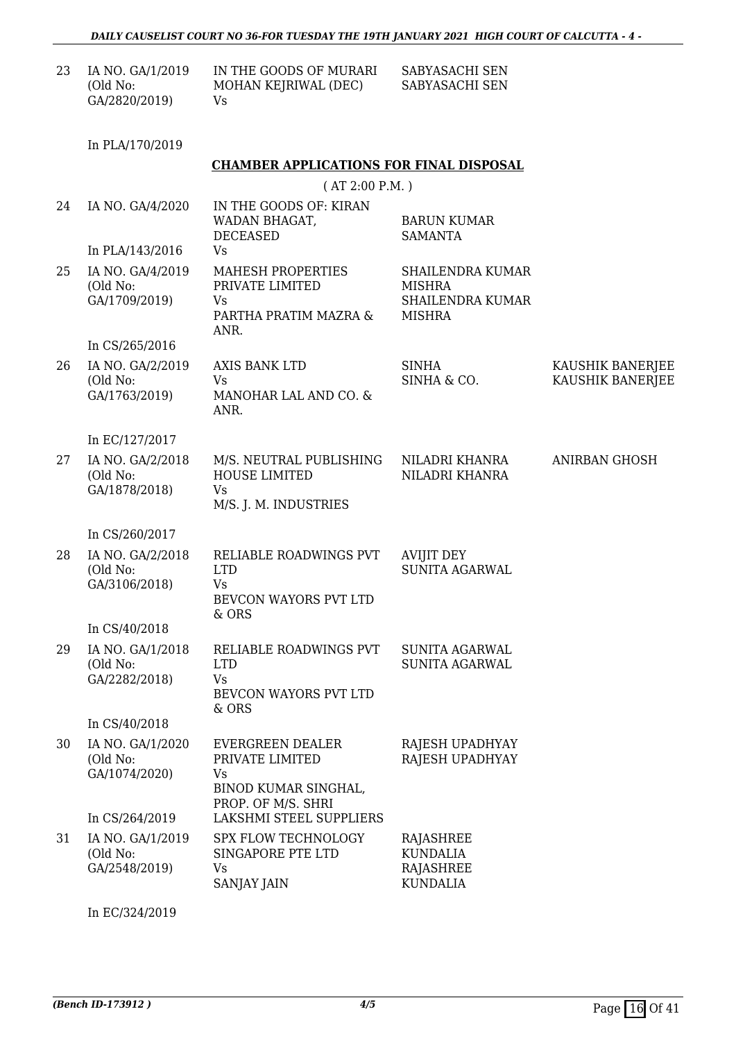| 23 | IA NO. GA/1/2019 | IN THE GOODS OF MURARI | SABYASACHI SEN |
|----|------------------|------------------------|----------------|
|    | (Old No:         | MOHAN KEJRIWAL (DEC)   | SABYASACHI SEN |
|    | GA/2820/2019)    | Vs.                    |                |

In PLA/170/2019

#### **CHAMBER APPLICATIONS FOR FINAL DISPOSAL**

|    | (AT 2:00 P.M.)                                                  |                                                                                                |                                                                                      |                                      |  |  |
|----|-----------------------------------------------------------------|------------------------------------------------------------------------------------------------|--------------------------------------------------------------------------------------|--------------------------------------|--|--|
| 24 | IA NO. GA/4/2020<br>In PLA/143/2016                             | IN THE GOODS OF: KIRAN<br>WADAN BHAGAT,<br><b>DECEASED</b><br>Vs                               | <b>BARUN KUMAR</b><br><b>SAMANTA</b>                                                 |                                      |  |  |
| 25 | IA NO. GA/4/2019<br>(Old No:<br>GA/1709/2019)                   | MAHESH PROPERTIES<br>PRIVATE LIMITED<br><b>Vs</b><br>PARTHA PRATIM MAZRA &<br>ANR.             | <b>SHAILENDRA KUMAR</b><br><b>MISHRA</b><br><b>SHAILENDRA KUMAR</b><br><b>MISHRA</b> |                                      |  |  |
| 26 | In CS/265/2016<br>IA NO. GA/2/2019<br>(Old No:<br>GA/1763/2019) | AXIS BANK LTD<br><b>Vs</b><br>MANOHAR LAL AND CO. &                                            | <b>SINHA</b><br>SINHA & CO.                                                          | KAUSHIK BANERJEE<br>KAUSHIK BANERJEE |  |  |
|    | In EC/127/2017                                                  | ANR.                                                                                           |                                                                                      |                                      |  |  |
| 27 | IA NO. GA/2/2018<br>(Old No:<br>GA/1878/2018)                   | M/S. NEUTRAL PUBLISHING<br><b>HOUSE LIMITED</b><br><b>Vs</b><br>M/S. J. M. INDUSTRIES          | NILADRI KHANRA<br>NILADRI KHANRA                                                     | <b>ANIRBAN GHOSH</b>                 |  |  |
|    | In CS/260/2017                                                  |                                                                                                |                                                                                      |                                      |  |  |
| 28 | IA NO. GA/2/2018<br>(Old No:<br>GA/3106/2018)                   | RELIABLE ROADWINGS PVT<br><b>LTD</b><br><b>Vs</b><br>BEVCON WAYORS PVT LTD<br>& ORS            | <b>AVIJIT DEY</b><br><b>SUNITA AGARWAL</b>                                           |                                      |  |  |
|    | In CS/40/2018                                                   |                                                                                                |                                                                                      |                                      |  |  |
| 29 | IA NO. GA/1/2018<br>(Old No:<br>GA/2282/2018)                   | RELIABLE ROADWINGS PVT<br><b>LTD</b><br>Vs<br>BEVCON WAYORS PVT LTD<br>& ORS                   | <b>SUNITA AGARWAL</b><br><b>SUNITA AGARWAL</b>                                       |                                      |  |  |
|    | In CS/40/2018                                                   |                                                                                                |                                                                                      |                                      |  |  |
| 30 | IA NO. GA/1/2020<br>(Old No:<br>GA/1074/2020)                   | <b>EVERGREEN DEALER</b><br>PRIVATE LIMITED<br>Vs<br>BINOD KUMAR SINGHAL,<br>PROP. OF M/S. SHRI | RAJESH UPADHYAY<br>RAJESH UPADHYAY                                                   |                                      |  |  |
|    | In CS/264/2019                                                  | <b>LAKSHMI STEEL SUPPLIERS</b>                                                                 |                                                                                      |                                      |  |  |
| 31 | IA NO. GA/1/2019<br>(Old No:<br>GA/2548/2019)                   | SPX FLOW TECHNOLOGY<br>SINGAPORE PTE LTD<br>Vs<br><b>SANJAY JAIN</b>                           | RAJASHREE<br><b>KUNDALIA</b><br><b>RAJASHREE</b><br><b>KUNDALIA</b>                  |                                      |  |  |

In EC/324/2019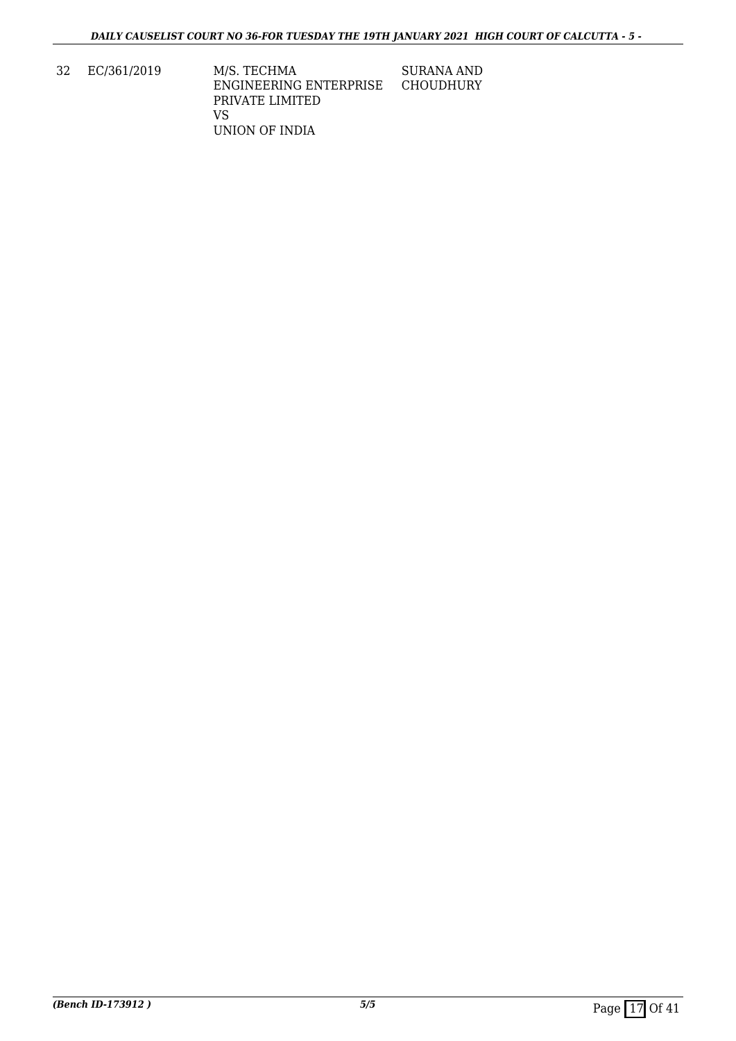32 EC/361/2019 M/S. TECHMA ENGINEERING ENTERPRISE PRIVATE LIMITED VS UNION OF INDIA SURANA AND CHOUDHURY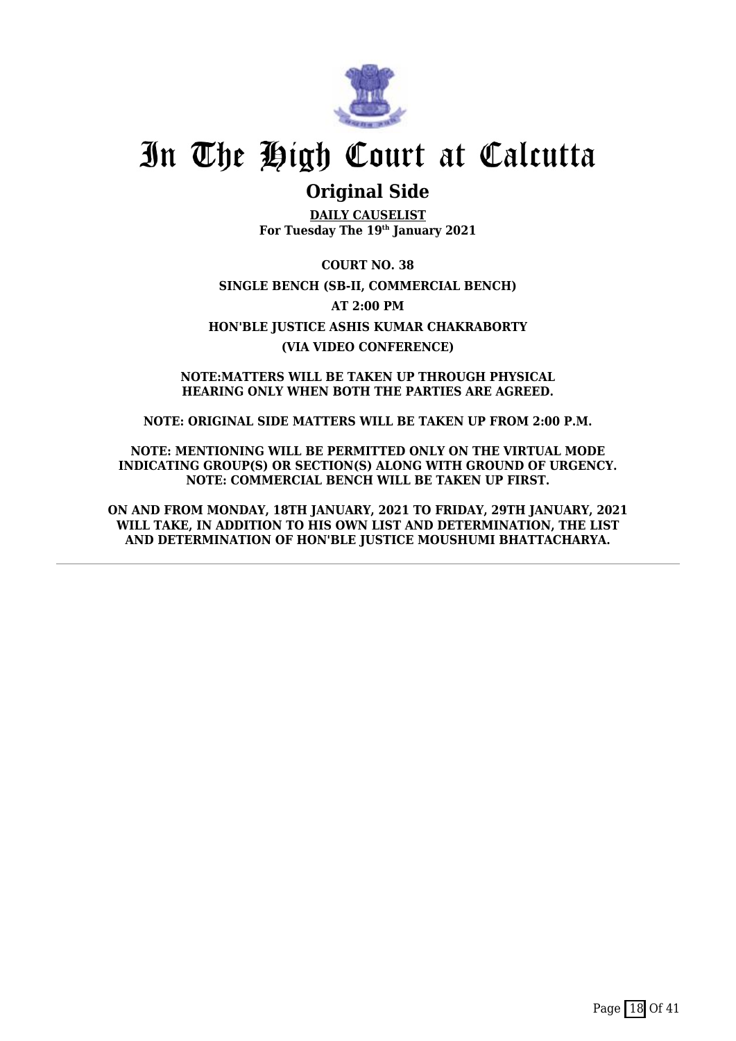

### **Original Side**

**DAILY CAUSELIST For Tuesday The 19th January 2021**

**COURT NO. 38 SINGLE BENCH (SB-II, COMMERCIAL BENCH) AT 2:00 PM HON'BLE JUSTICE ASHIS KUMAR CHAKRABORTY (VIA VIDEO CONFERENCE)**

**NOTE:MATTERS WILL BE TAKEN UP THROUGH PHYSICAL HEARING ONLY WHEN BOTH THE PARTIES ARE AGREED.**

**NOTE: ORIGINAL SIDE MATTERS WILL BE TAKEN UP FROM 2:00 P.M.**

**NOTE: MENTIONING WILL BE PERMITTED ONLY ON THE VIRTUAL MODE INDICATING GROUP(S) OR SECTION(S) ALONG WITH GROUND OF URGENCY. NOTE: COMMERCIAL BENCH WILL BE TAKEN UP FIRST.**

**ON AND FROM MONDAY, 18TH JANUARY, 2021 TO FRIDAY, 29TH JANUARY, 2021 WILL TAKE, IN ADDITION TO HIS OWN LIST AND DETERMINATION, THE LIST AND DETERMINATION OF HON'BLE JUSTICE MOUSHUMI BHATTACHARYA.**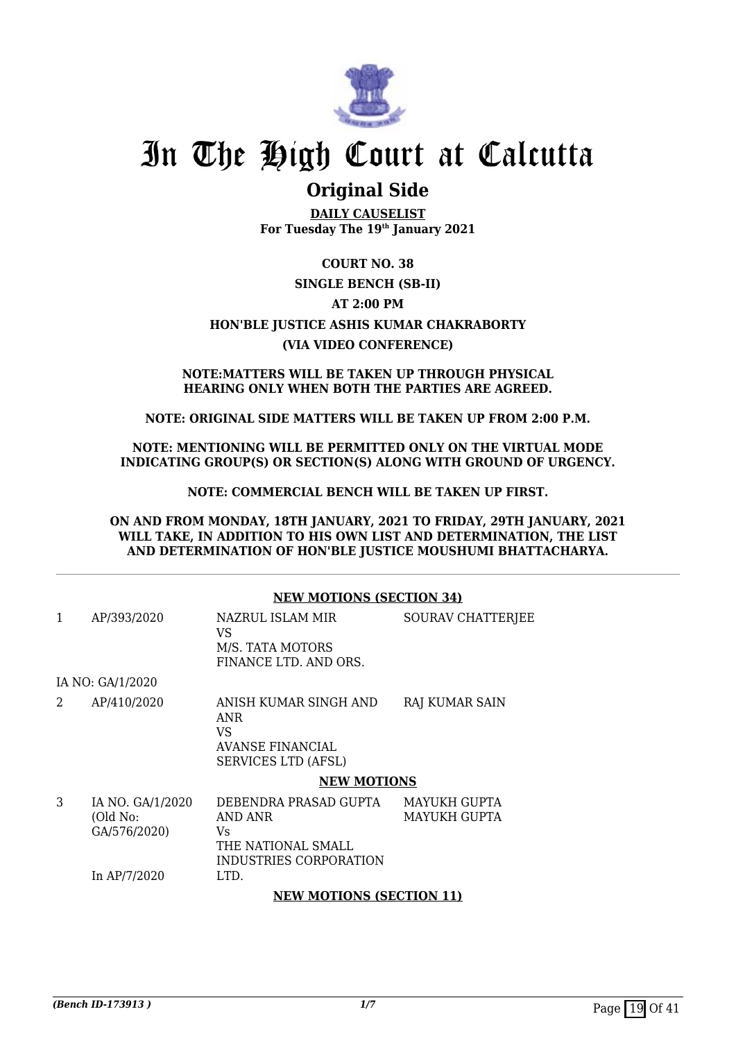

### **Original Side**

**DAILY CAUSELIST For Tuesday The 19th January 2021**

### **COURT NO. 38 SINGLE BENCH (SB-II) AT 2:00 PM HON'BLE JUSTICE ASHIS KUMAR CHAKRABORTY (VIA VIDEO CONFERENCE)**

#### **NOTE:MATTERS WILL BE TAKEN UP THROUGH PHYSICAL HEARING ONLY WHEN BOTH THE PARTIES ARE AGREED.**

### **NOTE: ORIGINAL SIDE MATTERS WILL BE TAKEN UP FROM 2:00 P.M.**

**NOTE: MENTIONING WILL BE PERMITTED ONLY ON THE VIRTUAL MODE INDICATING GROUP(S) OR SECTION(S) ALONG WITH GROUND OF URGENCY.**

**NOTE: COMMERCIAL BENCH WILL BE TAKEN UP FIRST.**

**ON AND FROM MONDAY, 18TH JANUARY, 2021 TO FRIDAY, 29TH JANUARY, 2021 WILL TAKE, IN ADDITION TO HIS OWN LIST AND DETERMINATION, THE LIST AND DETERMINATION OF HON'BLE JUSTICE MOUSHUMI BHATTACHARYA.**

#### **NEW MOTIONS (SECTION 34)**

| 1 | AP/393/2020                                                  | NAZRUL ISLAM MIR<br>VS                                                                          | SOURAV CHATTERJEE                          |
|---|--------------------------------------------------------------|-------------------------------------------------------------------------------------------------|--------------------------------------------|
|   |                                                              | M/S. TATA MOTORS<br>FINANCE LTD. AND ORS.                                                       |                                            |
|   | IA NO: GA/1/2020                                             |                                                                                                 |                                            |
| 2 | AP/410/2020                                                  | ANISH KUMAR SINGH AND<br>ANR<br>VS<br><b>AVANSE FINANCIAL</b><br><b>SERVICES LTD (AFSL)</b>     | RAJ KUMAR SAIN                             |
|   |                                                              | <b>NEW MOTIONS</b>                                                                              |                                            |
| 3 | IA NO. GA/1/2020<br>(Old No:<br>GA/576/2020)<br>In AP/7/2020 | DEBENDRA PRASAD GUPTA<br>AND ANR<br>Vs.<br>THE NATIONAL SMALL<br>INDUSTRIES CORPORATION<br>LTD. | <b>MAYUKH GUPTA</b><br><b>MAYUKH GUPTA</b> |
|   |                                                              | <b>NEW MOTIONS (SECTION 11)</b>                                                                 |                                            |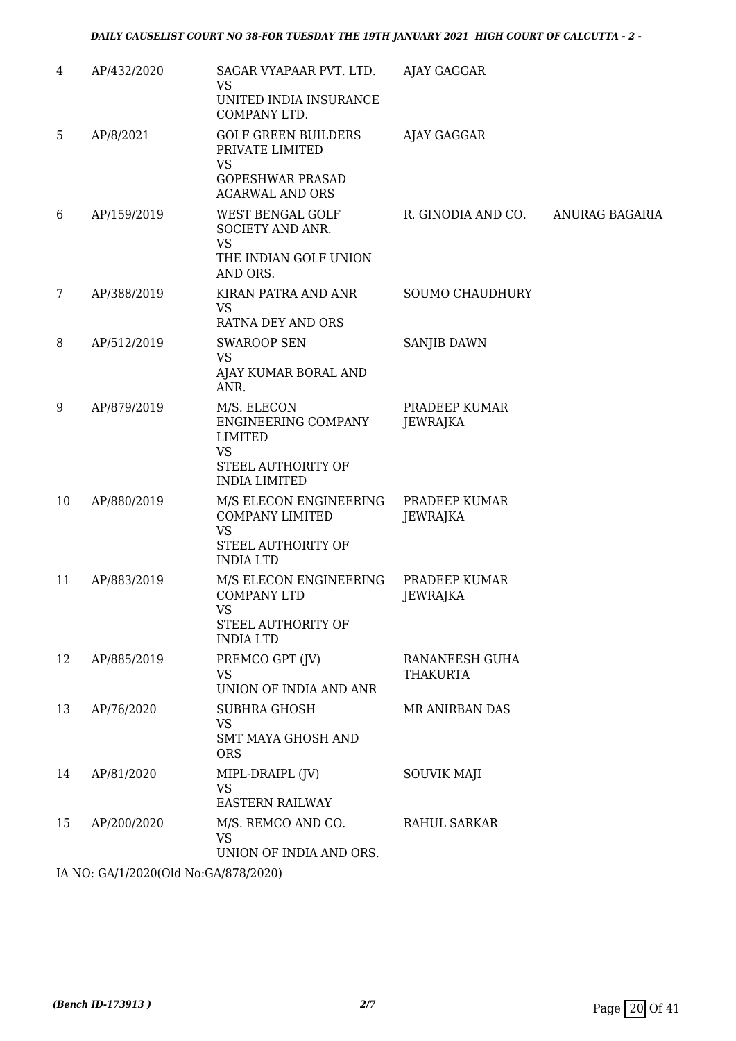| 4  | AP/432/2020                           | SAGAR VYAPAAR PVT. LTD.<br><b>VS</b><br>UNITED INDIA INSURANCE<br>COMPANY LTD.                                  | AJAY GAGGAR                       |                |
|----|---------------------------------------|-----------------------------------------------------------------------------------------------------------------|-----------------------------------|----------------|
| 5  | AP/8/2021                             | <b>GOLF GREEN BUILDERS</b><br>PRIVATE LIMITED<br><b>VS</b><br><b>GOPESHWAR PRASAD</b><br><b>AGARWAL AND ORS</b> | AJAY GAGGAR                       |                |
| 6  | AP/159/2019                           | <b>WEST BENGAL GOLF</b><br>SOCIETY AND ANR.<br><b>VS</b><br>THE INDIAN GOLF UNION<br>AND ORS.                   | R. GINODIA AND CO.                | ANURAG BAGARIA |
| 7  | AP/388/2019                           | KIRAN PATRA AND ANR<br><b>VS</b><br>RATNA DEY AND ORS                                                           | <b>SOUMO CHAUDHURY</b>            |                |
| 8  | AP/512/2019                           | <b>SWAROOP SEN</b><br><b>VS</b><br>AJAY KUMAR BORAL AND<br>ANR.                                                 | SANJIB DAWN                       |                |
| 9  | AP/879/2019                           | M/S. ELECON<br>ENGINEERING COMPANY<br><b>LIMITED</b><br><b>VS</b><br>STEEL AUTHORITY OF<br><b>INDIA LIMITED</b> | PRADEEP KUMAR<br><b>JEWRAJKA</b>  |                |
| 10 | AP/880/2019                           | M/S ELECON ENGINEERING<br><b>COMPANY LIMITED</b><br><b>VS</b><br>STEEL AUTHORITY OF<br><b>INDIA LTD</b>         | PRADEEP KUMAR<br>JEWRAJKA         |                |
| 11 | AP/883/2019                           | M/S ELECON ENGINEERING<br><b>COMPANY LTD</b><br>VS.<br>STEEL AUTHORITY OF<br><b>INDIA LTD</b>                   | PRADEEP KUMAR<br>JEWRAJKA         |                |
| 12 | AP/885/2019                           | PREMCO GPT (JV)<br>VS<br>UNION OF INDIA AND ANR                                                                 | RANANEESH GUHA<br><b>THAKURTA</b> |                |
| 13 | AP/76/2020                            | SUBHRA GHOSH<br><b>VS</b><br><b>SMT MAYA GHOSH AND</b><br><b>ORS</b>                                            | MR ANIRBAN DAS                    |                |
| 14 | AP/81/2020                            | MIPL-DRAIPL (JV)<br><b>VS</b><br><b>EASTERN RAILWAY</b>                                                         | <b>SOUVIK MAJI</b>                |                |
| 15 | AP/200/2020                           | M/S. REMCO AND CO.<br>VS<br>UNION OF INDIA AND ORS.                                                             | RAHUL SARKAR                      |                |
|    | IA NO: GA/1/2020(Old No:GA/878/2020). |                                                                                                                 |                                   |                |

IA NO: GA/1/2020(Old No:GA/878/2020)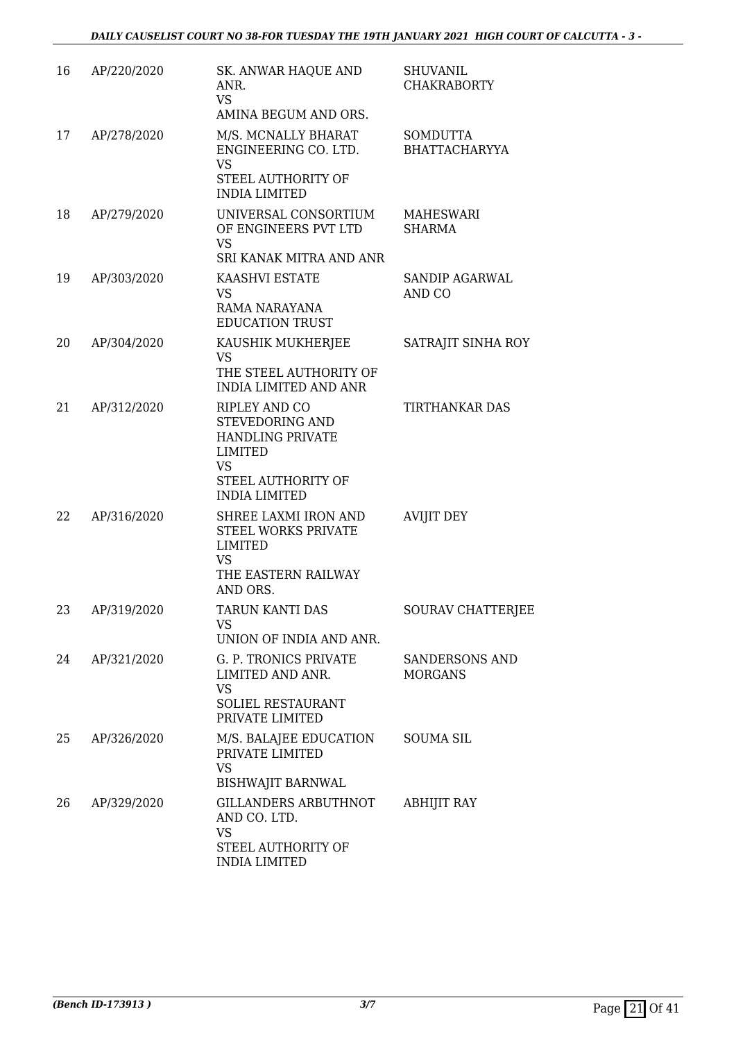| 16 | AP/220/2020 | <b>SK. ANWAR HAQUE AND</b><br>ANR.<br><b>VS</b><br>AMINA BEGUM AND ORS.                                                                  | <b>SHUVANIL</b><br><b>CHAKRABORTY</b>   |
|----|-------------|------------------------------------------------------------------------------------------------------------------------------------------|-----------------------------------------|
| 17 | AP/278/2020 | M/S. MCNALLY BHARAT<br>ENGINEERING CO. LTD.<br>VS<br>STEEL AUTHORITY OF<br><b>INDIA LIMITED</b>                                          | <b>SOMDUTTA</b><br><b>BHATTACHARYYA</b> |
| 18 | AP/279/2020 | UNIVERSAL CONSORTIUM<br>OF ENGINEERS PVT LTD<br><b>VS</b><br>SRI KANAK MITRA AND ANR                                                     | MAHESWARI<br><b>SHARMA</b>              |
| 19 | AP/303/2020 | KAASHVI ESTATE<br><b>VS</b><br>RAMA NARAYANA<br><b>EDUCATION TRUST</b>                                                                   | SANDIP AGARWAL<br>AND CO                |
| 20 | AP/304/2020 | KAUSHIK MUKHERJEE<br><b>VS</b><br>THE STEEL AUTHORITY OF<br><b>INDIA LIMITED AND ANR</b>                                                 | SATRAJIT SINHA ROY                      |
| 21 | AP/312/2020 | <b>RIPLEY AND CO</b><br>STEVEDORING AND<br>HANDLING PRIVATE<br><b>LIMITED</b><br><b>VS</b><br>STEEL AUTHORITY OF<br><b>INDIA LIMITED</b> | TIRTHANKAR DAS                          |
| 22 | AP/316/2020 | SHREE LAXMI IRON AND<br><b>STEEL WORKS PRIVATE</b><br>LIMITED<br><b>VS</b><br>THE EASTERN RAILWAY<br>AND ORS.                            | <b>AVIJIT DEY</b>                       |
| 23 | AP/319/2020 | TARUN KANTI DAS<br>VS.<br>UNION OF INDIA AND ANR.                                                                                        | <b>SOURAV CHATTERJEE</b>                |
| 24 | AP/321/2020 | G. P. TRONICS PRIVATE<br>LIMITED AND ANR.<br><b>VS</b><br>SOLIEL RESTAURANT<br>PRIVATE LIMITED                                           | <b>SANDERSONS AND</b><br><b>MORGANS</b> |
| 25 | AP/326/2020 | M/S. BALAJEE EDUCATION<br>PRIVATE LIMITED<br><b>VS</b><br><b>BISHWAJIT BARNWAL</b>                                                       | <b>SOUMA SIL</b>                        |
| 26 | AP/329/2020 | GILLANDERS ARBUTHNOT<br>AND CO. LTD.<br><b>VS</b><br>STEEL AUTHORITY OF<br><b>INDIA LIMITED</b>                                          | <b>ABHIJIT RAY</b>                      |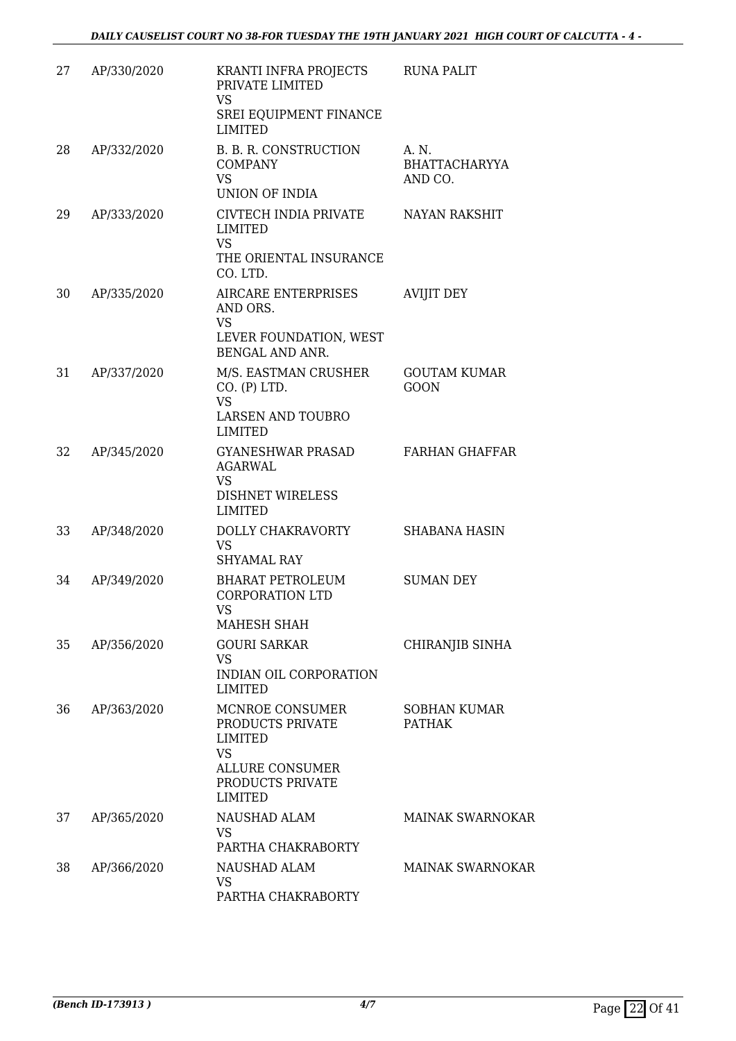| 27 | AP/330/2020 | KRANTI INFRA PROJECTS<br>PRIVATE LIMITED<br><b>VS</b><br>SREI EQUIPMENT FINANCE<br><b>LIMITED</b>                           | <b>RUNA PALIT</b>                    |
|----|-------------|-----------------------------------------------------------------------------------------------------------------------------|--------------------------------------|
| 28 | AP/332/2020 | B. B. R. CONSTRUCTION<br><b>COMPANY</b><br><b>VS</b><br><b>UNION OF INDIA</b>                                               | A. N.<br>BHATTACHARYYA<br>AND CO.    |
| 29 | AP/333/2020 | CIVTECH INDIA PRIVATE<br><b>LIMITED</b><br><b>VS</b><br>THE ORIENTAL INSURANCE<br>CO. LTD.                                  | <b>NAYAN RAKSHIT</b>                 |
| 30 | AP/335/2020 | AIRCARE ENTERPRISES<br>AND ORS.<br><b>VS</b><br>LEVER FOUNDATION, WEST<br>BENGAL AND ANR.                                   | <b>AVIJIT DEY</b>                    |
| 31 | AP/337/2020 | M/S. EASTMAN CRUSHER<br>CO. (P) LTD.<br><b>VS</b><br><b>LARSEN AND TOUBRO</b><br><b>LIMITED</b>                             | <b>GOUTAM KUMAR</b><br><b>GOON</b>   |
| 32 | AP/345/2020 | <b>GYANESHWAR PRASAD</b><br><b>AGARWAL</b><br><b>VS</b><br><b>DISHNET WIRELESS</b><br><b>LIMITED</b>                        | <b>FARHAN GHAFFAR</b>                |
| 33 | AP/348/2020 | DOLLY CHAKRAVORTY<br><b>VS</b><br><b>SHYAMAL RAY</b>                                                                        | <b>SHABANA HASIN</b>                 |
| 34 | AP/349/2020 | <b>BHARAT PETROLEUM</b><br><b>CORPORATION LTD</b><br>VS<br>MAHESH SHAH                                                      | <b>SUMAN DEY</b>                     |
| 35 | AP/356/2020 | <b>GOURI SARKAR</b><br><b>VS</b><br>INDIAN OIL CORPORATION<br><b>LIMITED</b>                                                | CHIRANJIB SINHA                      |
| 36 | AP/363/2020 | MCNROE CONSUMER<br>PRODUCTS PRIVATE<br><b>LIMITED</b><br><b>VS</b><br>ALLURE CONSUMER<br>PRODUCTS PRIVATE<br><b>LIMITED</b> | <b>SOBHAN KUMAR</b><br><b>PATHAK</b> |
| 37 | AP/365/2020 | NAUSHAD ALAM<br><b>VS</b><br>PARTHA CHAKRABORTY                                                                             | <b>MAINAK SWARNOKAR</b>              |
| 38 | AP/366/2020 | NAUSHAD ALAM<br><b>VS</b><br>PARTHA CHAKRABORTY                                                                             | <b>MAINAK SWARNOKAR</b>              |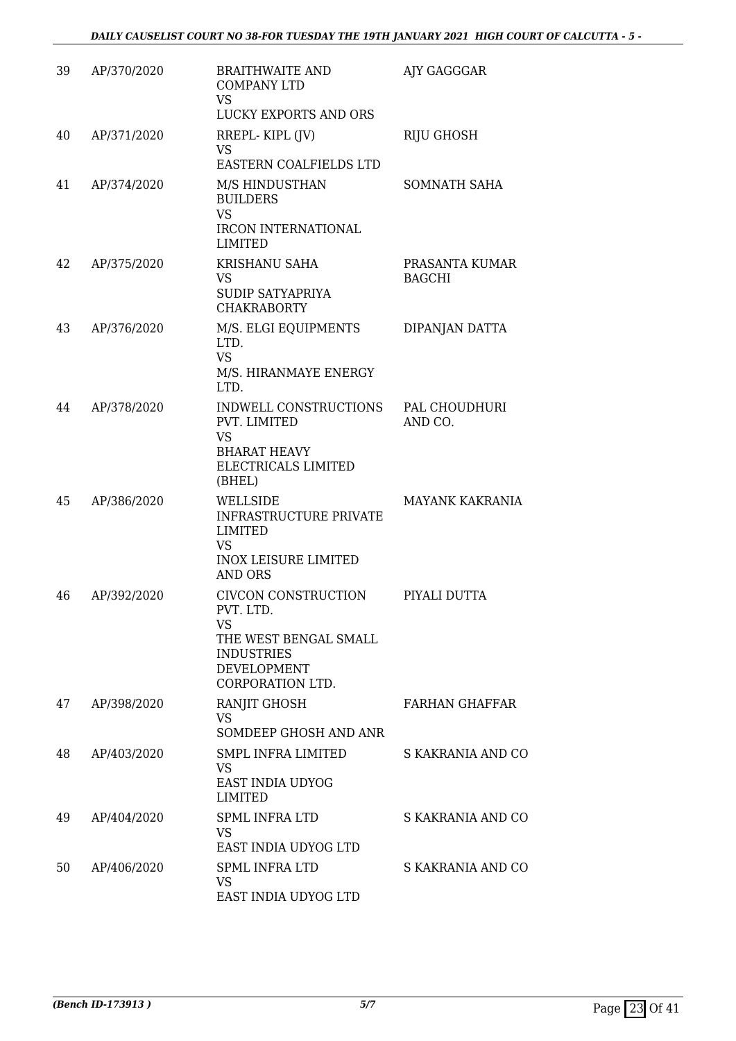| 39 | AP/370/2020 | <b>BRAITHWAITE AND</b><br><b>COMPANY LTD</b><br><b>VS</b><br>LUCKY EXPORTS AND ORS                                                    | AJY GAGGGAR                     |
|----|-------------|---------------------------------------------------------------------------------------------------------------------------------------|---------------------------------|
| 40 | AP/371/2020 | RREPL-KIPL (JV)<br><b>VS</b><br>EASTERN COALFIELDS LTD                                                                                | <b>RIJU GHOSH</b>               |
| 41 | AP/374/2020 | M/S HINDUSTHAN<br><b>BUILDERS</b><br><b>VS</b><br><b>IRCON INTERNATIONAL</b><br><b>LIMITED</b>                                        | SOMNATH SAHA                    |
| 42 | AP/375/2020 | <b>KRISHANU SAHA</b><br><b>VS</b><br><b>SUDIP SATYAPRIYA</b><br><b>CHAKRABORTY</b>                                                    | PRASANTA KUMAR<br><b>BAGCHI</b> |
| 43 | AP/376/2020 | M/S. ELGI EQUIPMENTS<br>LTD.<br><b>VS</b><br>M/S. HIRANMAYE ENERGY<br>LTD.                                                            | DIPANJAN DATTA                  |
| 44 | AP/378/2020 | INDWELL CONSTRUCTIONS<br>PVT. LIMITED<br><b>VS</b><br><b>BHARAT HEAVY</b><br>ELECTRICALS LIMITED<br>(BHEL)                            | PAL CHOUDHURI<br>AND CO.        |
| 45 | AP/386/2020 | WELLSIDE<br><b>INFRASTRUCTURE PRIVATE</b><br><b>LIMITED</b><br><b>VS</b><br><b>INOX LEISURE LIMITED</b><br><b>AND ORS</b>             | <b>MAYANK KAKRANIA</b>          |
| 46 | AP/392/2020 | <b>CIVCON CONSTRUCTION</b><br>PVT. LTD.<br>VS<br>THE WEST BENGAL SMALL<br><b>INDUSTRIES</b><br><b>DEVELOPMENT</b><br>CORPORATION LTD. | PIYALI DUTTA                    |
| 47 | AP/398/2020 | RANJIT GHOSH<br>VS.<br>SOMDEEP GHOSH AND ANR                                                                                          | <b>FARHAN GHAFFAR</b>           |
| 48 | AP/403/2020 | SMPL INFRA LIMITED<br><b>VS</b><br>EAST INDIA UDYOG<br><b>LIMITED</b>                                                                 | S KAKRANIA AND CO               |
| 49 | AP/404/2020 | <b>SPML INFRA LTD</b><br>VS.<br>EAST INDIA UDYOG LTD                                                                                  | S KAKRANIA AND CO               |
| 50 | AP/406/2020 | <b>SPML INFRA LTD</b><br>VS<br>EAST INDIA UDYOG LTD                                                                                   | S KAKRANIA AND CO               |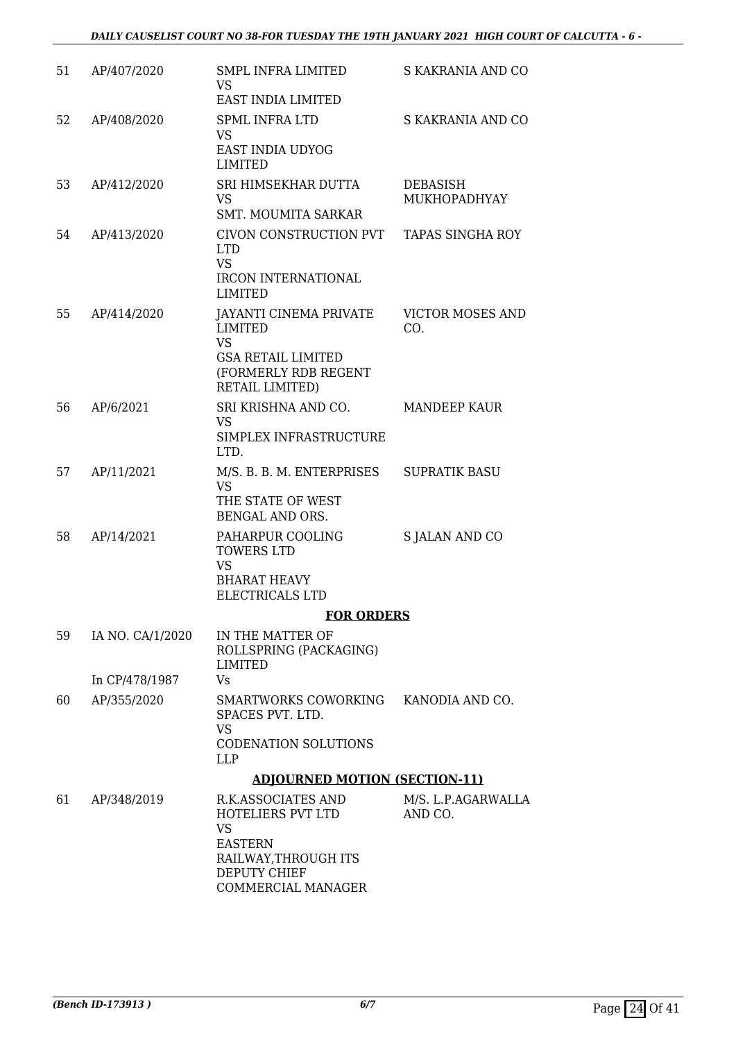| 51 | AP/407/2020      | <b>SMPL INFRA LIMITED</b><br><b>VS</b><br>EAST INDIA LIMITED                                                                                           | S KAKRANIA AND CO              |
|----|------------------|--------------------------------------------------------------------------------------------------------------------------------------------------------|--------------------------------|
| 52 | AP/408/2020      | <b>SPML INFRA LTD</b><br><b>VS</b><br>EAST INDIA UDYOG<br><b>LIMITED</b>                                                                               | S KAKRANIA AND CO              |
| 53 | AP/412/2020      | SRI HIMSEKHAR DUTTA<br>VS<br><b>SMT. MOUMITA SARKAR</b>                                                                                                | DEBASISH<br>MUKHOPADHYAY       |
| 54 | AP/413/2020      | CIVON CONSTRUCTION PVT<br><b>LTD</b><br><b>VS</b><br><b>IRCON INTERNATIONAL</b>                                                                        | TAPAS SINGHA ROY               |
| 55 | AP/414/2020      | <b>LIMITED</b><br><b>JAYANTI CINEMA PRIVATE</b><br><b>LIMITED</b><br><b>VS</b><br><b>GSA RETAIL LIMITED</b><br>(FORMERLY RDB REGENT<br>RETAIL LIMITED) | <b>VICTOR MOSES AND</b><br>CO. |
| 56 | AP/6/2021        | SRI KRISHNA AND CO.<br><b>VS</b><br>SIMPLEX INFRASTRUCTURE<br>LTD.                                                                                     | <b>MANDEEP KAUR</b>            |
| 57 | AP/11/2021       | M/S. B. B. M. ENTERPRISES<br>VS<br>THE STATE OF WEST<br>BENGAL AND ORS.                                                                                | <b>SUPRATIK BASU</b>           |
| 58 | AP/14/2021       | PAHARPUR COOLING<br><b>TOWERS LTD</b><br><b>VS</b><br><b>BHARAT HEAVY</b><br>ELECTRICALS LTD                                                           | <b>S JALAN AND CO</b>          |
|    |                  | <b>FOR ORDERS</b>                                                                                                                                      |                                |
| 59 | IA NO. CA/1/2020 | IN THE MATTER OF<br>ROLLSPRING (PACKAGING)<br>LIMITED                                                                                                  |                                |
|    | In CP/478/1987   | Vs                                                                                                                                                     |                                |
| 60 | AP/355/2020      | SMARTWORKS COWORKING KANODIA AND CO.<br>SPACES PVT. LTD.<br><b>VS</b><br><b>CODENATION SOLUTIONS</b><br><b>LLP</b>                                     |                                |
|    |                  | <b>ADJOURNED MOTION (SECTION-11)</b>                                                                                                                   |                                |
| 61 | AP/348/2019      | R.K.ASSOCIATES AND<br>HOTELIERS PVT LTD<br><b>VS</b><br><b>EASTERN</b><br>RAILWAY, THROUGH ITS<br>DEPUTY CHIEF<br>COMMERCIAL MANAGER                   | M/S. L.P.AGARWALLA<br>AND CO.  |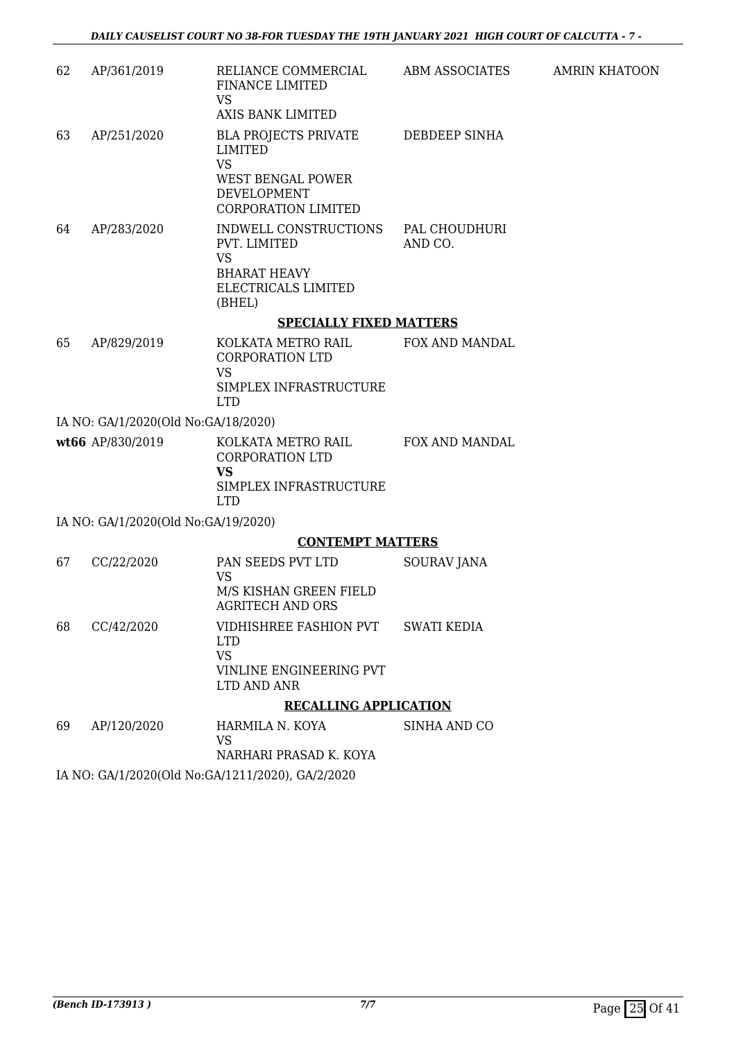| 62 | AP/361/2019                         | RELIANCE COMMERCIAL<br>FINANCE LIMITED<br><b>VS</b>                                                                   | ABM ASSOCIATES           | <b>AMRIN KHATOON</b> |
|----|-------------------------------------|-----------------------------------------------------------------------------------------------------------------------|--------------------------|----------------------|
|    |                                     | <b>AXIS BANK LIMITED</b>                                                                                              |                          |                      |
| 63 | AP/251/2020                         | <b>BLA PROJECTS PRIVATE</b><br>LIMITED<br><b>VS</b><br><b>WEST BENGAL POWER</b><br>DEVELOPMENT<br>CORPORATION LIMITED | DEBDEEP SINHA            |                      |
| 64 | AP/283/2020                         | INDWELL CONSTRUCTIONS<br>PVT. LIMITED<br><b>VS</b><br><b>BHARAT HEAVY</b><br>ELECTRICALS LIMITED<br>(BHEL)            | PAL CHOUDHURI<br>AND CO. |                      |
|    |                                     | <b>SPECIALLY FIXED MATTERS</b>                                                                                        |                          |                      |
| 65 | AP/829/2019                         | KOLKATA METRO RAIL<br><b>CORPORATION LTD</b><br><b>VS</b><br>SIMPLEX INFRASTRUCTURE                                   | FOX AND MANDAL           |                      |
|    |                                     | <b>LTD</b>                                                                                                            |                          |                      |
|    | IA NO: GA/1/2020(Old No:GA/18/2020) |                                                                                                                       |                          |                      |
|    | wt66 AP/830/2019                    | KOLKATA METRO RAIL<br><b>CORPORATION LTD</b><br><b>VS</b><br>SIMPLEX INFRASTRUCTURE<br><b>LTD</b>                     | FOX AND MANDAL           |                      |
|    | IA NO: GA/1/2020(Old No:GA/19/2020) |                                                                                                                       |                          |                      |
|    |                                     | <b>CONTEMPT MATTERS</b>                                                                                               |                          |                      |
| 67 | CC/22/2020                          | PAN SEEDS PVT LTD<br><b>VS</b><br>M/S KISHAN GREEN FIELD<br><b>AGRITECH AND ORS</b>                                   | SOURAV JANA              |                      |
| 68 | CC/42/2020                          | VIDHISHREE FASHION PVT<br><b>LTD</b><br><b>VS</b><br>VINLINE ENGINEERING PVT<br>LTD AND ANR                           | <b>SWATI KEDIA</b>       |                      |
|    |                                     | <b>RECALLING APPLICATION</b>                                                                                          |                          |                      |
| 69 | AP/120/2020                         | HARMILA N. KOYA<br><b>VS</b>                                                                                          | SINHA AND CO             |                      |
|    |                                     | NARHARI PRASAD K. KOYA                                                                                                |                          |                      |
|    |                                     | IA NO: GA/1/2020(Old No:GA/1211/2020), GA/2/2020                                                                      |                          |                      |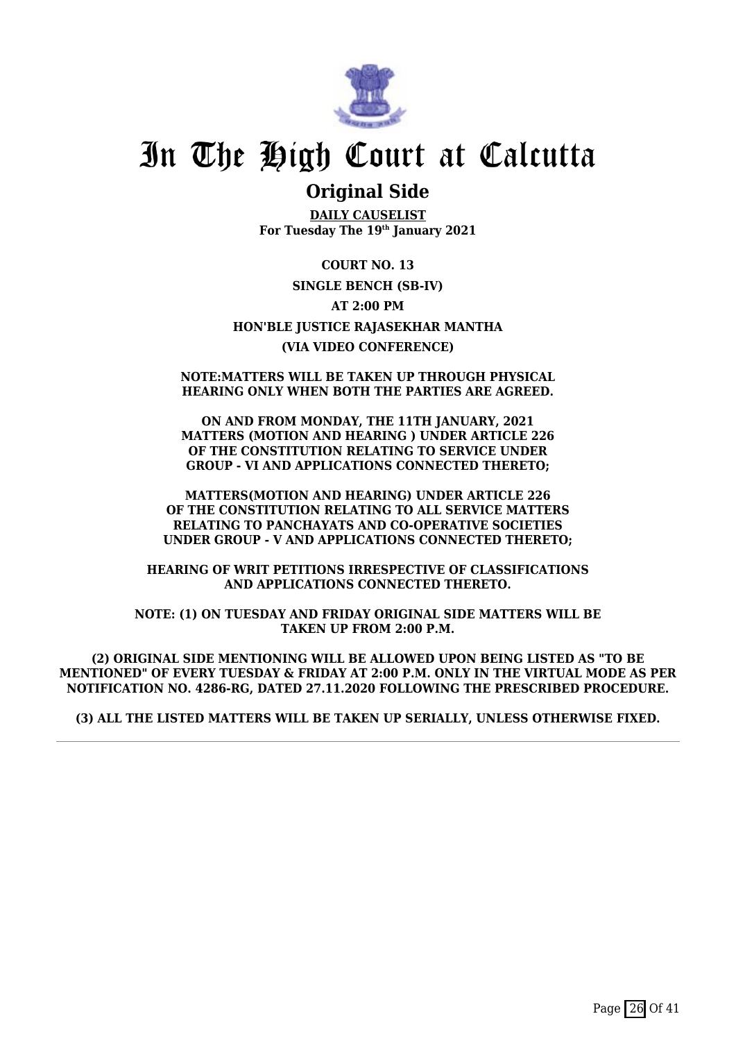

### **Original Side**

**DAILY CAUSELIST For Tuesday The 19th January 2021**

**COURT NO. 13 SINGLE BENCH (SB-IV) AT 2:00 PM HON'BLE JUSTICE RAJASEKHAR MANTHA (VIA VIDEO CONFERENCE)**

#### **NOTE:MATTERS WILL BE TAKEN UP THROUGH PHYSICAL HEARING ONLY WHEN BOTH THE PARTIES ARE AGREED.**

**ON AND FROM MONDAY, THE 11TH JANUARY, 2021 MATTERS (MOTION AND HEARING ) UNDER ARTICLE 226 OF THE CONSTITUTION RELATING TO SERVICE UNDER GROUP - VI AND APPLICATIONS CONNECTED THERETO;**

**MATTERS(MOTION AND HEARING) UNDER ARTICLE 226 OF THE CONSTITUTION RELATING TO ALL SERVICE MATTERS RELATING TO PANCHAYATS AND CO-OPERATIVE SOCIETIES UNDER GROUP - V AND APPLICATIONS CONNECTED THERETO;**

**HEARING OF WRIT PETITIONS IRRESPECTIVE OF CLASSIFICATIONS AND APPLICATIONS CONNECTED THERETO.**

**NOTE: (1) ON TUESDAY AND FRIDAY ORIGINAL SIDE MATTERS WILL BE TAKEN UP FROM 2:00 P.M.**

**(2) ORIGINAL SIDE MENTIONING WILL BE ALLOWED UPON BEING LISTED AS "TO BE MENTIONED" OF EVERY TUESDAY & FRIDAY AT 2:00 P.M. ONLY IN THE VIRTUAL MODE AS PER NOTIFICATION NO. 4286-RG, DATED 27.11.2020 FOLLOWING THE PRESCRIBED PROCEDURE.**

**(3) ALL THE LISTED MATTERS WILL BE TAKEN UP SERIALLY, UNLESS OTHERWISE FIXED.**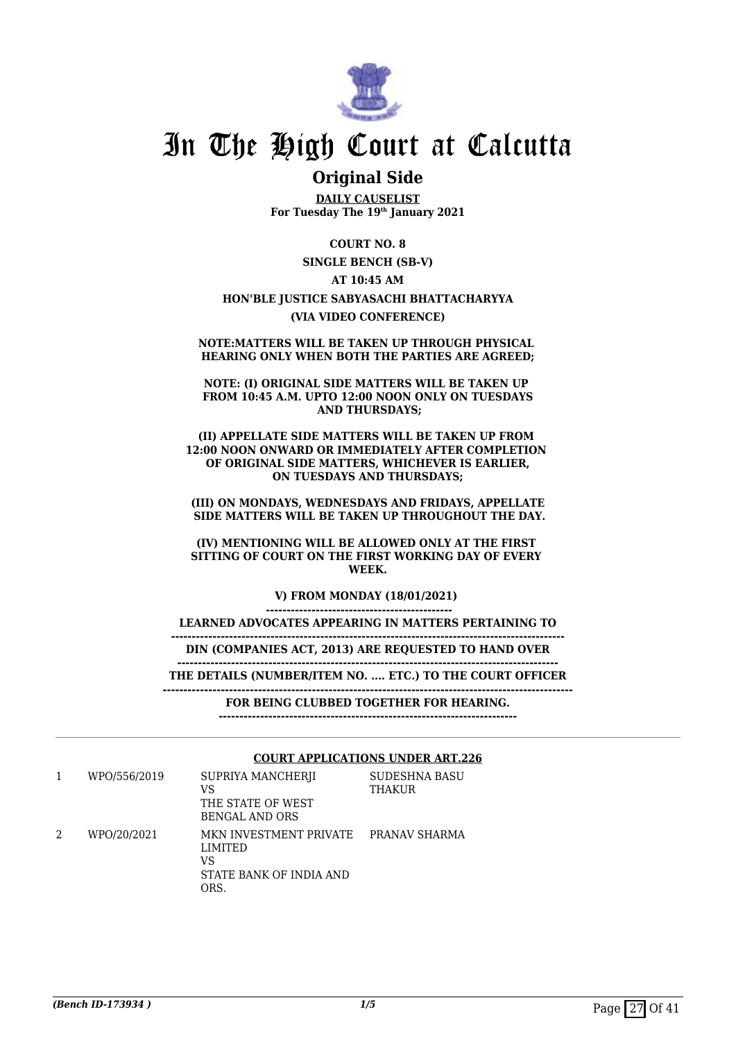

### **Original Side**

**DAILY CAUSELIST For Tuesday The 19th January 2021**

**COURT NO. 8**

**SINGLE BENCH (SB-V)**

### **AT 10:45 AM HON'BLE JUSTICE SABYASACHI BHATTACHARYYA (VIA VIDEO CONFERENCE)**

**NOTE:MATTERS WILL BE TAKEN UP THROUGH PHYSICAL HEARING ONLY WHEN BOTH THE PARTIES ARE AGREED;**

**NOTE: (I) ORIGINAL SIDE MATTERS WILL BE TAKEN UP FROM 10:45 A.M. UPTO 12:00 NOON ONLY ON TUESDAYS AND THURSDAYS;**

**(II) APPELLATE SIDE MATTERS WILL BE TAKEN UP FROM 12:00 NOON ONWARD OR IMMEDIATELY AFTER COMPLETION OF ORIGINAL SIDE MATTERS, WHICHEVER IS EARLIER, ON TUESDAYS AND THURSDAYS;**

**(III) ON MONDAYS, WEDNESDAYS AND FRIDAYS, APPELLATE SIDE MATTERS WILL BE TAKEN UP THROUGHOUT THE DAY.**

**(IV) MENTIONING WILL BE ALLOWED ONLY AT THE FIRST SITTING OF COURT ON THE FIRST WORKING DAY OF EVERY WEEK.**

**V) FROM MONDAY (18/01/2021)** 

**--------------------------------------------- LEARNED ADVOCATES APPEARING IN MATTERS PERTAINING TO**

**-----------------------------------------------------------------------------------------------**

**DIN (COMPANIES ACT, 2013) ARE REQUESTED TO HAND OVER**

**-------------------------------------------------------------------------------------------- THE DETAILS (NUMBER/ITEM NO. .... ETC.) TO THE COURT OFFICER**

**---------------------------------------------------------------------------------------------------**

**FOR BEING CLUBBED TOGETHER FOR HEARING.**

**------------------------------------------------------------------------**

#### **COURT APPLICATIONS UNDER ART.226**

|   | WPO/556/2019 | SUPRIYA MANCHERII<br>VS<br>THE STATE OF WEST<br>BENGAL AND ORS             | <b>SUDESHNA BASU</b><br><b>THAKUR</b> |
|---|--------------|----------------------------------------------------------------------------|---------------------------------------|
| 2 | WPO/20/2021  | MKN INVESTMENT PRIVATE<br>LIMITED<br>VS<br>STATE BANK OF INDIA AND<br>ORS. | PRANAV SHARMA                         |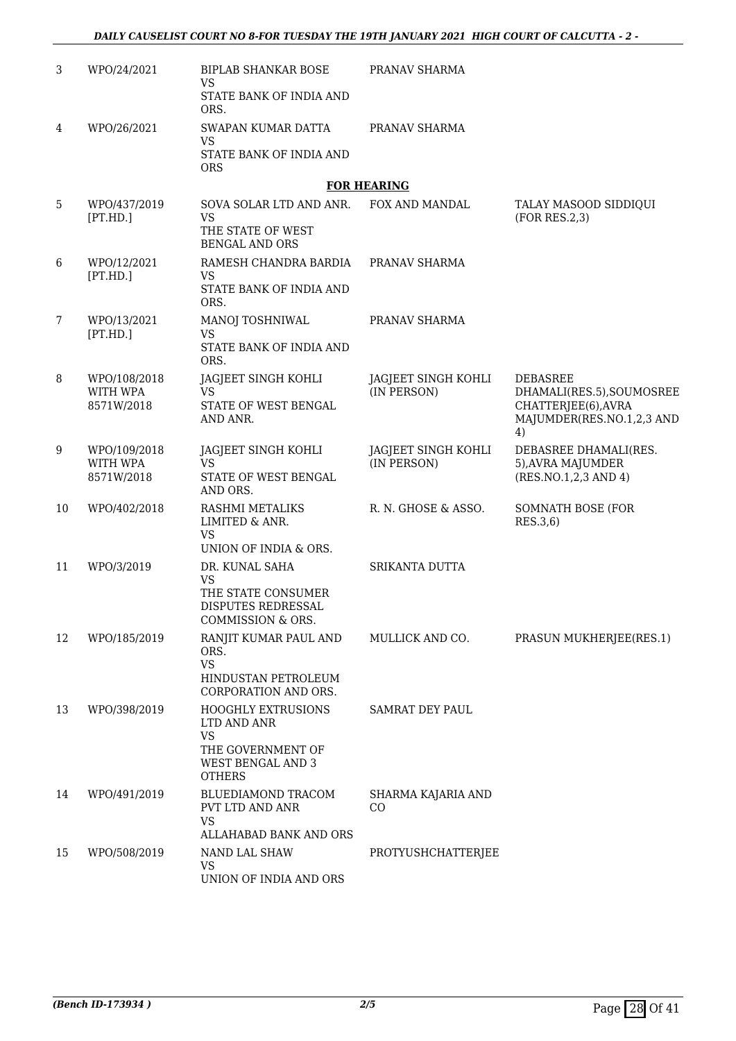| 3  | WPO/24/2021                            | <b>BIPLAB SHANKAR BOSE</b><br><b>VS</b>                                                                          | PRANAV SHARMA                      |                                                                                                        |
|----|----------------------------------------|------------------------------------------------------------------------------------------------------------------|------------------------------------|--------------------------------------------------------------------------------------------------------|
|    |                                        | STATE BANK OF INDIA AND<br>ORS.                                                                                  |                                    |                                                                                                        |
| 4  | WPO/26/2021                            | SWAPAN KUMAR DATTA<br>VS                                                                                         | PRANAV SHARMA                      |                                                                                                        |
|    |                                        | STATE BANK OF INDIA AND<br><b>ORS</b>                                                                            |                                    |                                                                                                        |
|    |                                        |                                                                                                                  | <b>FOR HEARING</b>                 |                                                                                                        |
| 5  | WPO/437/2019<br>[PT.HD.]               | SOVA SOLAR LTD AND ANR.<br>VS<br>THE STATE OF WEST<br><b>BENGAL AND ORS</b>                                      | FOX AND MANDAL                     | TALAY MASOOD SIDDIQUI<br>(FOR RES.2,3)                                                                 |
| 6  | WPO/12/2021<br>[PT.HD.]                | RAMESH CHANDRA BARDIA<br><b>VS</b><br>STATE BANK OF INDIA AND<br>ORS.                                            | PRANAV SHARMA                      |                                                                                                        |
| 7  | WPO/13/2021<br>[PT.HD.]                | MANOJ TOSHNIWAL<br>VS<br>STATE BANK OF INDIA AND                                                                 | PRANAV SHARMA                      |                                                                                                        |
|    |                                        | ORS.                                                                                                             |                                    |                                                                                                        |
| 8  | WPO/108/2018<br>WITH WPA<br>8571W/2018 | JAGJEET SINGH KOHLI<br>VS<br>STATE OF WEST BENGAL<br>AND ANR.                                                    | JAGJEET SINGH KOHLI<br>(IN PERSON) | <b>DEBASREE</b><br>DHAMALI(RES.5), SOUMOSREE<br>CHATTERJEE(6), AVRA<br>MAJUMDER(RES.NO.1,2,3 AND<br>4) |
| 9  | WPO/109/2018<br>WITH WPA<br>8571W/2018 | JAGJEET SINGH KOHLI<br><b>VS</b><br>STATE OF WEST BENGAL<br>AND ORS.                                             | JAGJEET SINGH KOHLI<br>(IN PERSON) | DEBASREE DHAMALI(RES.<br>5), AVRA MAJUMDER<br>(RES.NO.1,2,3 AND 4)                                     |
| 10 | WPO/402/2018                           | RASHMI METALIKS<br>LIMITED & ANR.<br><b>VS</b><br>UNION OF INDIA & ORS.                                          | R. N. GHOSE & ASSO.                | SOMNATH BOSE (FOR<br>RES.3,6)                                                                          |
| 11 | WPO/3/2019                             | DR. KUNAL SAHA<br><b>VS</b><br>THE STATE CONSUMER<br>DISPUTES REDRESSAL<br>COMMISSION & ORS.                     | SRIKANTA DUTTA                     |                                                                                                        |
| 12 | WPO/185/2019                           | RANJIT KUMAR PAUL AND<br>ORS.<br><b>VS</b><br>HINDUSTAN PETROLEUM<br>CORPORATION AND ORS.                        | MULLICK AND CO.                    | PRASUN MUKHERJEE(RES.1)                                                                                |
| 13 | WPO/398/2019                           | <b>HOOGHLY EXTRUSIONS</b><br>LTD AND ANR<br><b>VS</b><br>THE GOVERNMENT OF<br>WEST BENGAL AND 3<br><b>OTHERS</b> | <b>SAMRAT DEY PAUL</b>             |                                                                                                        |
| 14 | WPO/491/2019                           | BLUEDIAMOND TRACOM<br>PVT LTD AND ANR<br><b>VS</b><br>ALLAHABAD BANK AND ORS                                     | SHARMA KAJARIA AND<br>CO           |                                                                                                        |
| 15 | WPO/508/2019                           | NAND LAL SHAW<br><b>VS</b><br>UNION OF INDIA AND ORS                                                             | PROTYUSHCHATTERJEE                 |                                                                                                        |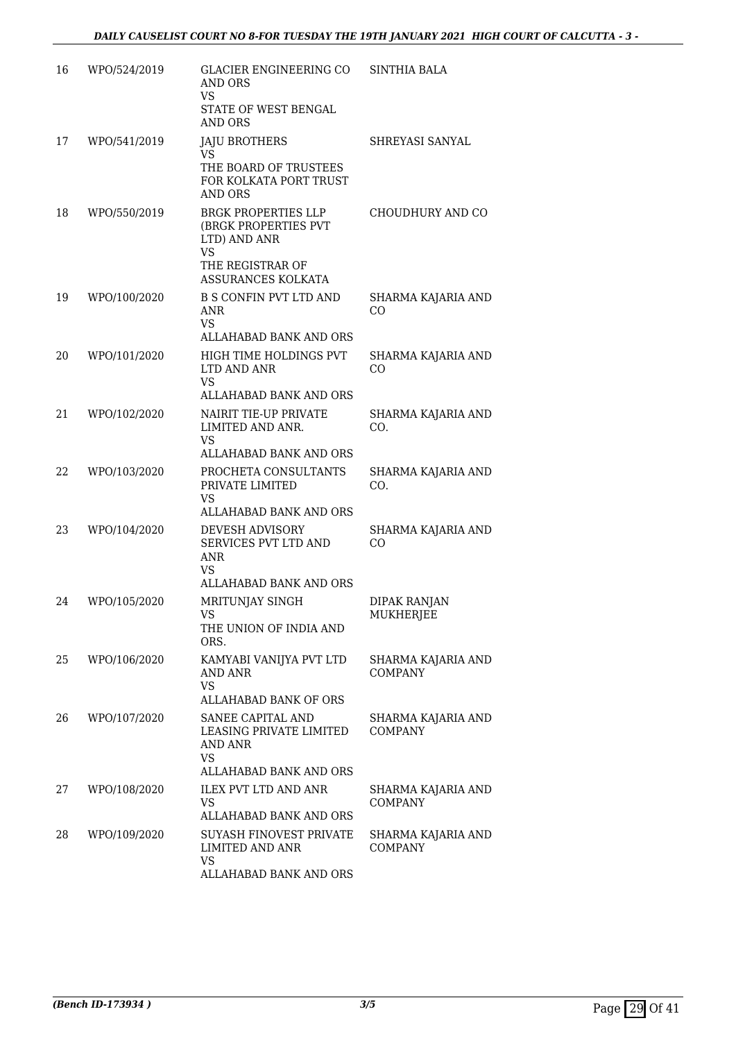| 16 | WPO/524/2019 | GLACIER ENGINEERING CO<br><b>AND ORS</b><br>VS<br>STATE OF WEST BENGAL<br><b>AND ORS</b>                           | <b>SINTHIA BALA</b>                  |
|----|--------------|--------------------------------------------------------------------------------------------------------------------|--------------------------------------|
| 17 | WPO/541/2019 | JAJU BROTHERS<br>VS<br>THE BOARD OF TRUSTEES<br>FOR KOLKATA PORT TRUST<br><b>AND ORS</b>                           | SHREYASI SANYAL                      |
| 18 | WPO/550/2019 | <b>BRGK PROPERTIES LLP</b><br>(BRGK PROPERTIES PVT<br>LTD) AND ANR<br>VS<br>THE REGISTRAR OF<br>ASSURANCES KOLKATA | CHOUDHURY AND CO                     |
| 19 | WPO/100/2020 | <b>B S CONFIN PVT LTD AND</b><br>ANR<br><b>VS</b><br>ALLAHABAD BANK AND ORS                                        | SHARMA KAJARIA AND<br>CO             |
| 20 | WPO/101/2020 | HIGH TIME HOLDINGS PVT<br>LTD AND ANR<br><b>VS</b><br><b>ALLAHABAD BANK AND ORS</b>                                | SHARMA KAJARIA AND<br>CO             |
| 21 | WPO/102/2020 | <b>NAIRIT TIE-UP PRIVATE</b><br>LIMITED AND ANR.<br>VS<br>ALLAHABAD BANK AND ORS                                   | SHARMA KAJARIA AND<br>CO.            |
| 22 | WPO/103/2020 | PROCHETA CONSULTANTS<br>PRIVATE LIMITED<br>VS<br>ALLAHABAD BANK AND ORS                                            | SHARMA KAJARIA AND<br>CO.            |
| 23 | WPO/104/2020 | <b>DEVESH ADVISORY</b><br>SERVICES PVT LTD AND<br>ANR<br>VS<br>ALLAHABAD BANK AND ORS                              | SHARMA KAJARIA AND<br>CO             |
| 24 | WPO/105/2020 | MRITUNJAY SINGH<br>vs<br>THE UNION OF INDIA AND<br>ORS.                                                            | <b>DIPAK RANJAN</b><br>MUKHERJEE     |
| 25 | WPO/106/2020 | KAMYABI VANIJYA PVT LTD<br><b>AND ANR</b><br><b>VS</b><br>ALLAHABAD BANK OF ORS                                    | SHARMA KAJARIA AND<br><b>COMPANY</b> |
| 26 | WPO/107/2020 | SANEE CAPITAL AND<br>LEASING PRIVATE LIMITED<br>AND ANR<br>VS<br>ALLAHABAD BANK AND ORS                            | SHARMA KAJARIA AND<br><b>COMPANY</b> |
| 27 | WPO/108/2020 | <b>ILEX PVT LTD AND ANR</b><br>VS<br>ALLAHABAD BANK AND ORS                                                        | SHARMA KAJARIA AND<br><b>COMPANY</b> |
| 28 | WPO/109/2020 | SUYASH FINOVEST PRIVATE<br>LIMITED AND ANR<br>VS<br>ALLAHABAD BANK AND ORS                                         | SHARMA KAJARIA AND<br><b>COMPANY</b> |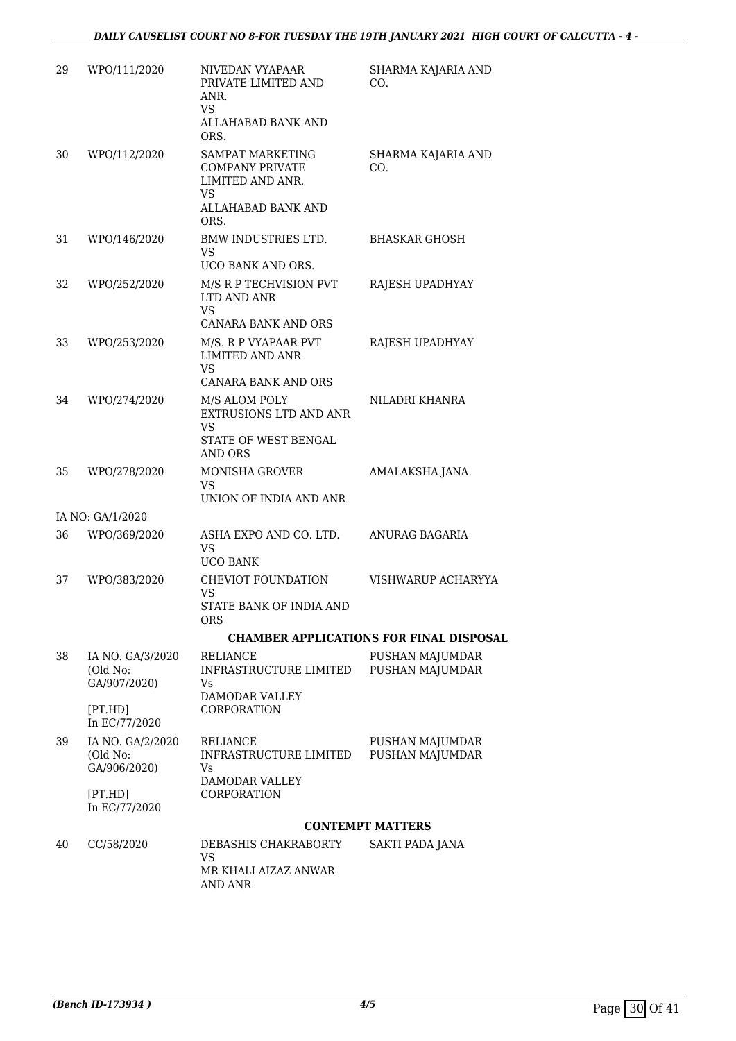| 29 | WPO/111/2020                                 | NIVEDAN VYAPAAR<br>PRIVATE LIMITED AND<br>ANR.<br><b>VS</b><br>ALLAHABAD BANK AND<br>ORS.           | SHARMA KAJARIA AND<br>CO.                      |
|----|----------------------------------------------|-----------------------------------------------------------------------------------------------------|------------------------------------------------|
| 30 | WPO/112/2020                                 | SAMPAT MARKETING<br><b>COMPANY PRIVATE</b><br>LIMITED AND ANR.<br>VS.<br>ALLAHABAD BANK AND<br>ORS. | SHARMA KAJARIA AND<br>CO.                      |
| 31 | WPO/146/2020                                 | <b>BMW INDUSTRIES LTD.</b><br><b>VS</b><br>UCO BANK AND ORS.                                        | <b>BHASKAR GHOSH</b>                           |
| 32 | WPO/252/2020                                 | M/S R P TECHVISION PVT<br>LTD AND ANR<br><b>VS</b>                                                  | RAJESH UPADHYAY                                |
| 33 | WPO/253/2020                                 | <b>CANARA BANK AND ORS</b><br>M/S. R P VYAPAAR PVT<br><b>LIMITED AND ANR</b><br>VS                  | RAJESH UPADHYAY                                |
|    |                                              | <b>CANARA BANK AND ORS</b>                                                                          |                                                |
| 34 | WPO/274/2020                                 | M/S ALOM POLY<br>EXTRUSIONS LTD AND ANR<br>VS                                                       | NILADRI KHANRA                                 |
|    |                                              | STATE OF WEST BENGAL<br><b>AND ORS</b>                                                              |                                                |
| 35 | WPO/278/2020                                 | <b>MONISHA GROVER</b><br>VS.<br>UNION OF INDIA AND ANR                                              | AMALAKSHA JANA                                 |
|    | IA NO: GA/1/2020                             |                                                                                                     |                                                |
| 36 | WPO/369/2020                                 | ASHA EXPO AND CO. LTD.<br>VS<br><b>UCO BANK</b>                                                     | ANURAG BAGARIA                                 |
| 37 | WPO/383/2020                                 | CHEVIOT FOUNDATION<br><b>VS</b>                                                                     | VISHWARUP ACHARYYA                             |
|    |                                              | STATE BANK OF INDIA AND<br>ORS                                                                      |                                                |
|    |                                              |                                                                                                     | <b>CHAMBER APPLICATIONS FOR FINAL DISPOSAL</b> |
| 38 | IA NO. GA/3/2020<br>(Old No:<br>GA/907/2020) | <b>RELIANCE</b><br>INFRASTRUCTURE LIMITED<br>Vs                                                     | PUSHAN MAJUMDAR<br>PUSHAN MAJUMDAR             |
|    | [PT.HD]<br>In EC/77/2020                     | <b>DAMODAR VALLEY</b><br>CORPORATION                                                                |                                                |
| 39 | IA NO. GA/2/2020<br>(Old No:<br>GA/906/2020) | RELIANCE<br>INFRASTRUCTURE LIMITED<br>Vs                                                            | PUSHAN MAJUMDAR<br>PUSHAN MAJUMDAR             |
|    | [PT.HD]<br>In EC/77/2020                     | DAMODAR VALLEY<br>CORPORATION                                                                       |                                                |
|    |                                              |                                                                                                     | <b>CONTEMPT MATTERS</b>                        |
| 40 | CC/58/2020                                   | DEBASHIS CHAKRABORTY<br>VS                                                                          | SAKTI PADA JANA                                |
|    |                                              | MR KHALI AIZAZ ANWAR<br>AND ANR                                                                     |                                                |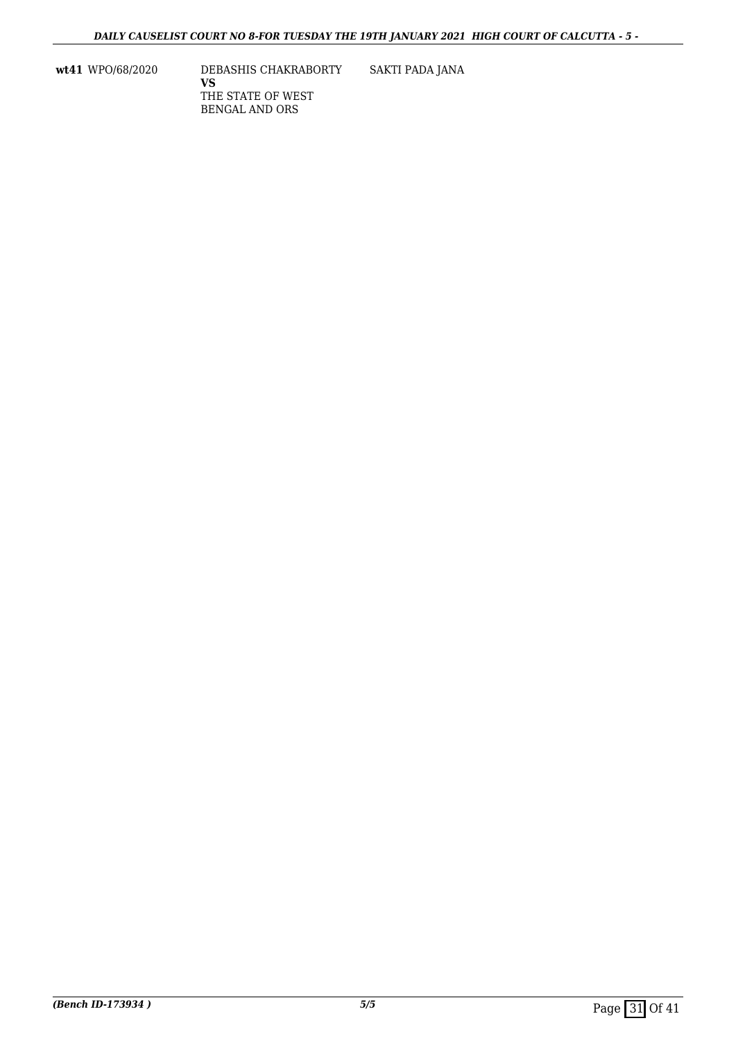**wt41** WPO/68/2020 DEBASHIS CHAKRABORTY **VS** THE STATE OF WEST BENGAL AND ORS SAKTI PADA JANA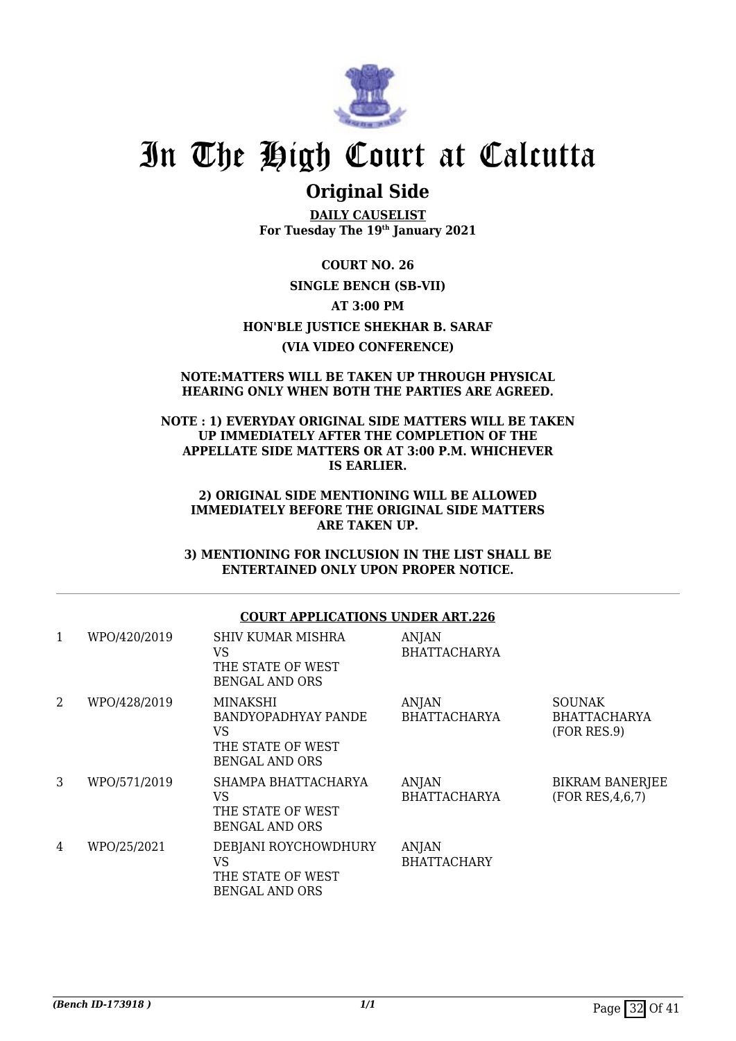

### **Original Side**

**DAILY CAUSELIST For Tuesday The 19th January 2021**

**COURT NO. 26 SINGLE BENCH (SB-VII) AT 3:00 PM HON'BLE JUSTICE SHEKHAR B. SARAF (VIA VIDEO CONFERENCE)**

#### **NOTE:MATTERS WILL BE TAKEN UP THROUGH PHYSICAL HEARING ONLY WHEN BOTH THE PARTIES ARE AGREED.**

### **NOTE : 1) EVERYDAY ORIGINAL SIDE MATTERS WILL BE TAKEN UP IMMEDIATELY AFTER THE COMPLETION OF THE APPELLATE SIDE MATTERS OR AT 3:00 P.M. WHICHEVER IS EARLIER.**

#### **2) ORIGINAL SIDE MENTIONING WILL BE ALLOWED IMMEDIATELY BEFORE THE ORIGINAL SIDE MATTERS ARE TAKEN UP.**

**3) MENTIONING FOR INCLUSION IN THE LIST SHALL BE ENTERTAINED ONLY UPON PROPER NOTICE.**

### **COURT APPLICATIONS UNDER ART.226**

| 1 | WPO/420/2019 | SHIV KUMAR MISHRA<br>VS<br>THE STATE OF WEST<br><b>BENGAL AND ORS</b>               | <b>ANJAN</b><br><b>BHATTACHARYA</b> |                                                     |
|---|--------------|-------------------------------------------------------------------------------------|-------------------------------------|-----------------------------------------------------|
| 2 | WPO/428/2019 | MINAKSHI<br>BANDYOPADHYAY PANDE<br>VS<br>THE STATE OF WEST<br><b>BENGAL AND ORS</b> | ANJAN<br><b>BHATTACHARYA</b>        | <b>SOUNAK</b><br><b>BHATTACHARYA</b><br>(FOR RES.9) |
| 3 | WPO/571/2019 | SHAMPA BHATTACHARYA<br>VS<br>THE STATE OF WEST<br><b>BENGAL AND ORS</b>             | ANJAN<br><b>BHATTACHARYA</b>        | <b>BIKRAM BANERJEE</b><br>(FOR RES, 4, 6, 7)        |
| 4 | WPO/25/2021  | DEBJANI ROYCHOWDHURY<br>VS<br>THE STATE OF WEST<br><b>BENGAL AND ORS</b>            | <b>ANJAN</b><br><b>BHATTACHARY</b>  |                                                     |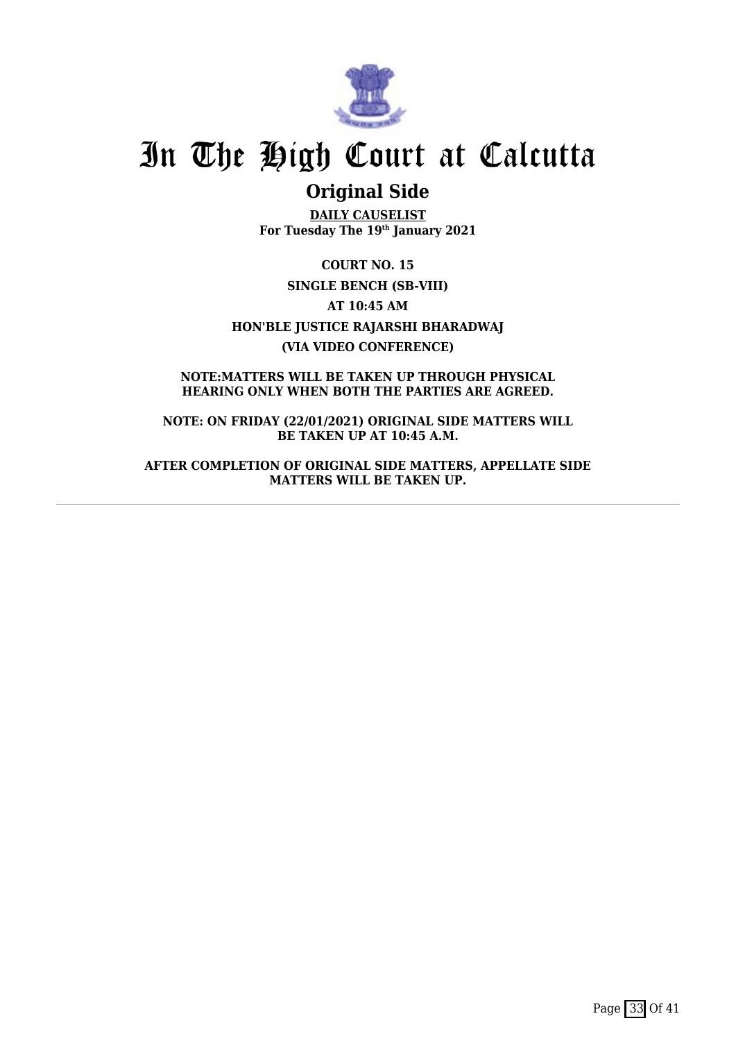

### **Original Side**

**DAILY CAUSELIST For Tuesday The 19th January 2021**

**COURT NO. 15 SINGLE BENCH (SB-VIII) AT 10:45 AM HON'BLE JUSTICE RAJARSHI BHARADWAJ (VIA VIDEO CONFERENCE)**

**NOTE:MATTERS WILL BE TAKEN UP THROUGH PHYSICAL HEARING ONLY WHEN BOTH THE PARTIES ARE AGREED.**

**NOTE: ON FRIDAY (22/01/2021) ORIGINAL SIDE MATTERS WILL BE TAKEN UP AT 10:45 A.M.**

**AFTER COMPLETION OF ORIGINAL SIDE MATTERS, APPELLATE SIDE MATTERS WILL BE TAKEN UP.**

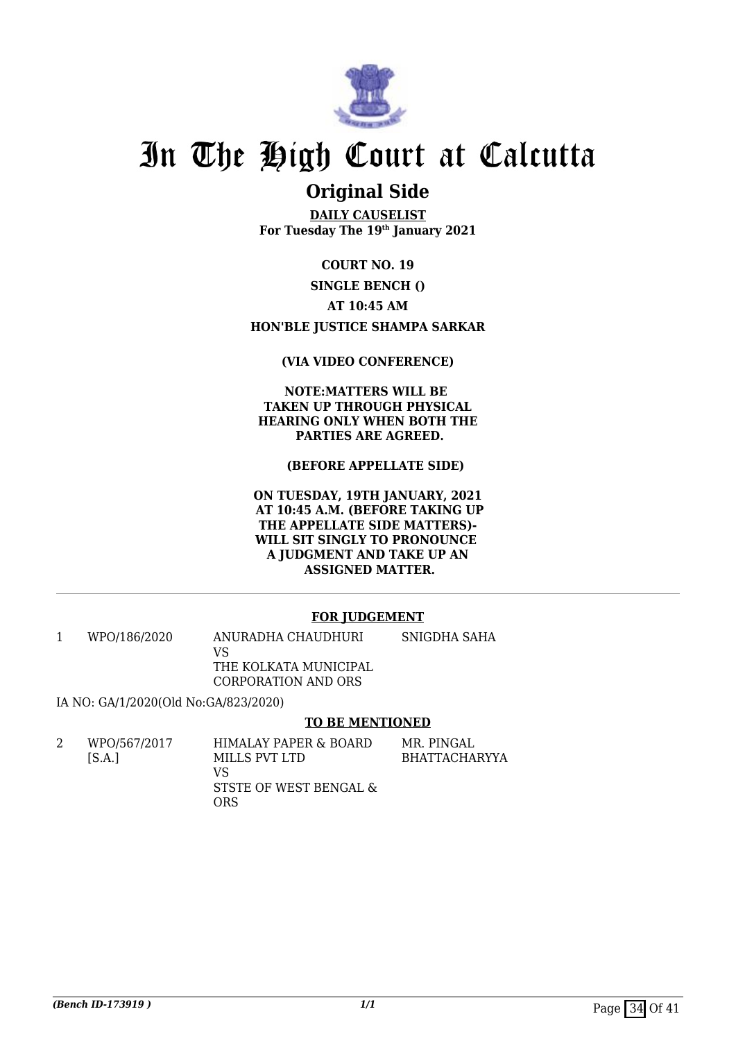

### **Original Side**

**DAILY CAUSELIST For Tuesday The 19th January 2021**

**COURT NO. 19**

**SINGLE BENCH ()**

**AT 10:45 AM**

**HON'BLE JUSTICE SHAMPA SARKAR**

### **(VIA VIDEO CONFERENCE)**

**NOTE:MATTERS WILL BE TAKEN UP THROUGH PHYSICAL HEARING ONLY WHEN BOTH THE PARTIES ARE AGREED.**

 **(BEFORE APPELLATE SIDE)** 

**ON TUESDAY, 19TH JANUARY, 2021 AT 10:45 A.M. (BEFORE TAKING UP THE APPELLATE SIDE MATTERS)- WILL SIT SINGLY TO PRONOUNCE A JUDGMENT AND TAKE UP AN ASSIGNED MATTER.**

### **FOR JUDGEMENT**

1 WPO/186/2020 ANURADHA CHAUDHURI VS THE KOLKATA MUNICIPAL CORPORATION AND ORS SNIGDHA SAHA

IA NO: GA/1/2020(Old No:GA/823/2020)

### **TO BE MENTIONED**

| WPO/567/2017 | HIMALAY PAPER & BOARD  | MR. PINGAL           |
|--------------|------------------------|----------------------|
| [S.A.]       | MILLS PVT LTD          | <b>BHATTACHARYYA</b> |
|              | VS                     |                      |
|              | STSTE OF WEST BENGAL & |                      |
|              | ORS                    |                      |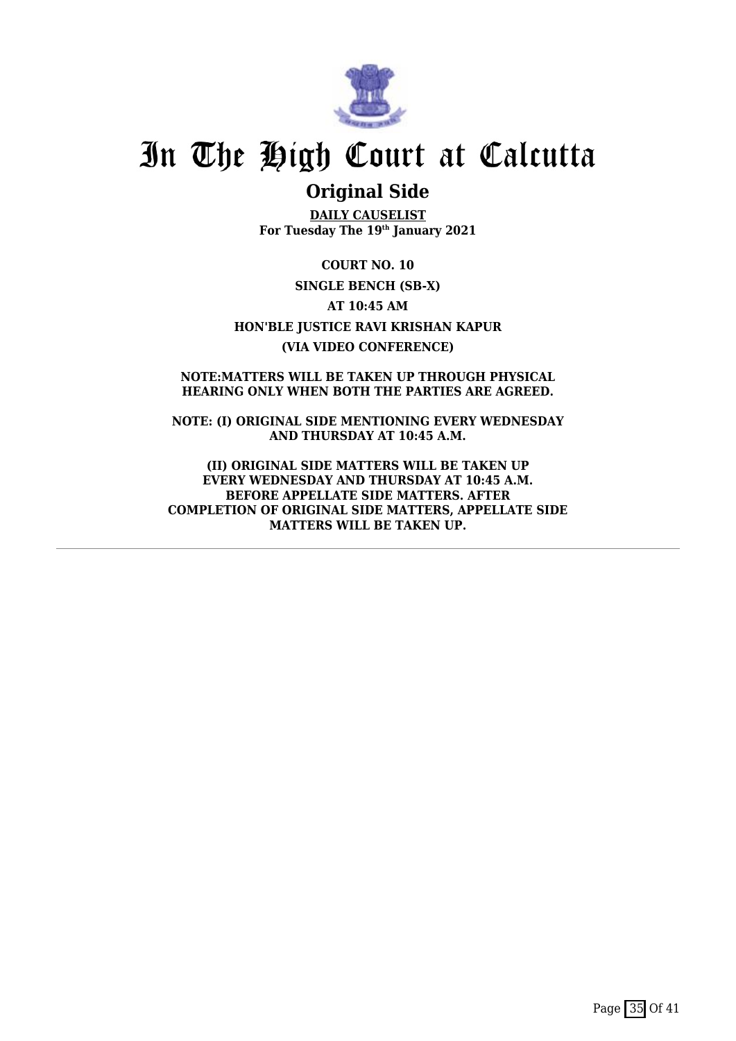

### **Original Side**

**DAILY CAUSELIST For Tuesday The 19th January 2021**

**COURT NO. 10 SINGLE BENCH (SB-X) AT 10:45 AM HON'BLE JUSTICE RAVI KRISHAN KAPUR (VIA VIDEO CONFERENCE)**

**NOTE:MATTERS WILL BE TAKEN UP THROUGH PHYSICAL HEARING ONLY WHEN BOTH THE PARTIES ARE AGREED.**

**NOTE: (I) ORIGINAL SIDE MENTIONING EVERY WEDNESDAY AND THURSDAY AT 10:45 A.M.**

**(II) ORIGINAL SIDE MATTERS WILL BE TAKEN UP EVERY WEDNESDAY AND THURSDAY AT 10:45 A.M. BEFORE APPELLATE SIDE MATTERS. AFTER COMPLETION OF ORIGINAL SIDE MATTERS, APPELLATE SIDE MATTERS WILL BE TAKEN UP.**

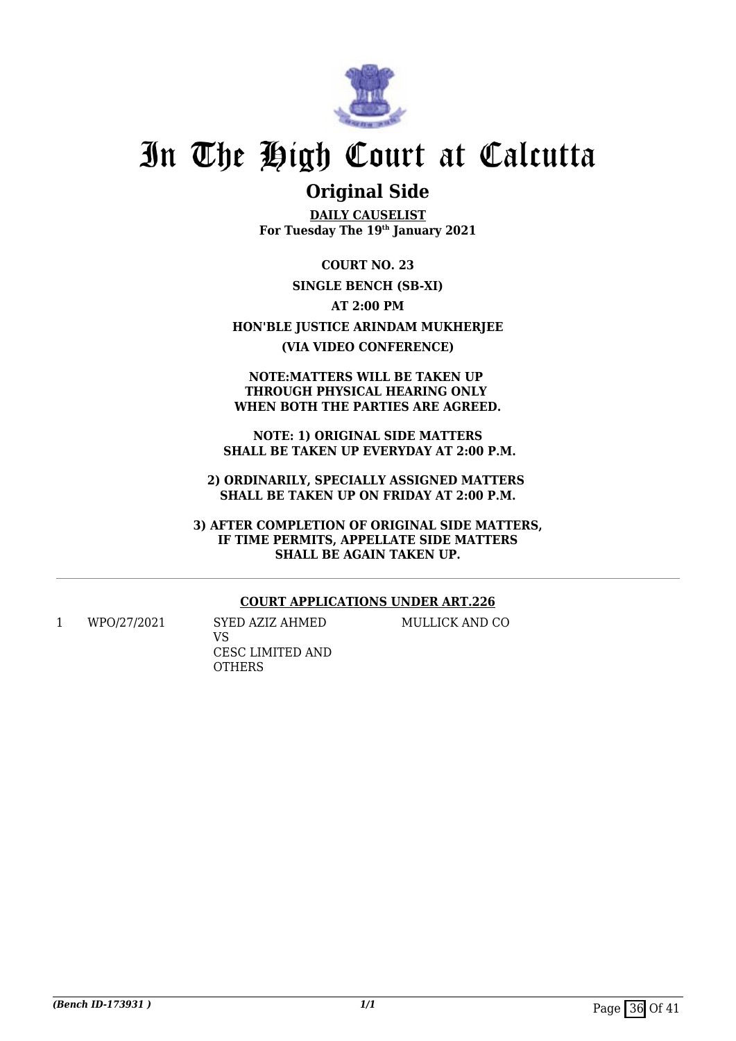

### **Original Side**

**DAILY CAUSELIST For Tuesday The 19th January 2021**

**COURT NO. 23 SINGLE BENCH (SB-XI) AT 2:00 PM HON'BLE JUSTICE ARINDAM MUKHERJEE (VIA VIDEO CONFERENCE)**

#### **NOTE:MATTERS WILL BE TAKEN UP THROUGH PHYSICAL HEARING ONLY WHEN BOTH THE PARTIES ARE AGREED.**

**NOTE: 1) ORIGINAL SIDE MATTERS SHALL BE TAKEN UP EVERYDAY AT 2:00 P.M.**

**2) ORDINARILY, SPECIALLY ASSIGNED MATTERS SHALL BE TAKEN UP ON FRIDAY AT 2:00 P.M.**

**3) AFTER COMPLETION OF ORIGINAL SIDE MATTERS, IF TIME PERMITS, APPELLATE SIDE MATTERS SHALL BE AGAIN TAKEN UP.**

### **COURT APPLICATIONS UNDER ART.226**

1 WPO/27/2021 SYED AZIZ AHMED VS CESC LIMITED AND **OTHERS** 

### MULLICK AND CO

*(Bench ID-173931)* 1/1 Page 36 Of 41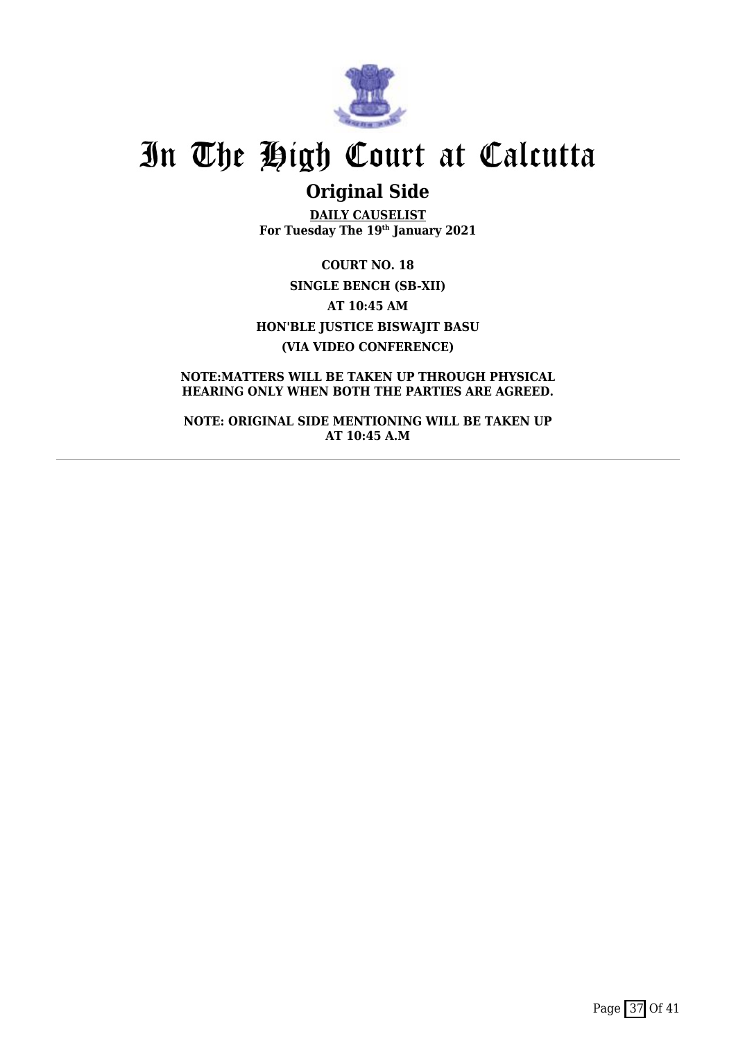

## **Original Side**

**DAILY CAUSELIST For Tuesday The 19th January 2021**

**COURT NO. 18 SINGLE BENCH (SB-XII) AT 10:45 AM HON'BLE JUSTICE BISWAJIT BASU (VIA VIDEO CONFERENCE)**

**NOTE:MATTERS WILL BE TAKEN UP THROUGH PHYSICAL HEARING ONLY WHEN BOTH THE PARTIES ARE AGREED.**

**NOTE: ORIGINAL SIDE MENTIONING WILL BE TAKEN UP AT 10:45 A.M**

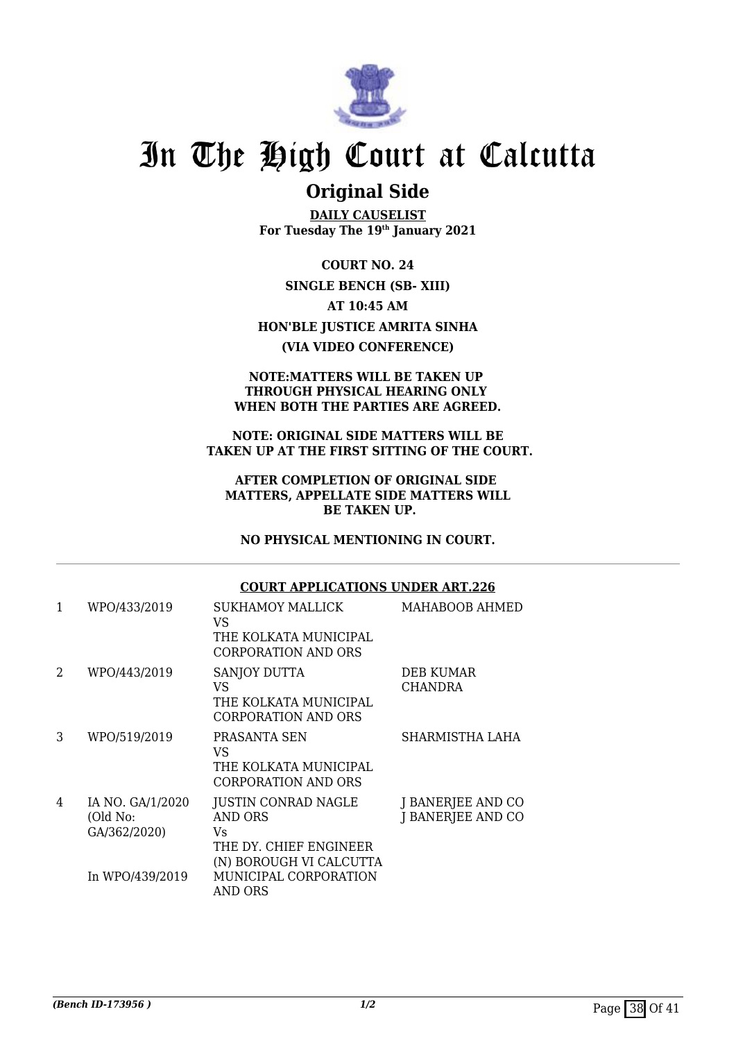

### **Original Side**

**DAILY CAUSELIST For Tuesday The 19th January 2021**

**COURT NO. 24 SINGLE BENCH (SB- XIII) AT 10:45 AM HON'BLE JUSTICE AMRITA SINHA (VIA VIDEO CONFERENCE)**

#### **NOTE:MATTERS WILL BE TAKEN UP THROUGH PHYSICAL HEARING ONLY WHEN BOTH THE PARTIES ARE AGREED.**

#### **NOTE: ORIGINAL SIDE MATTERS WILL BE TAKEN UP AT THE FIRST SITTING OF THE COURT.**

### **AFTER COMPLETION OF ORIGINAL SIDE MATTERS, APPELLATE SIDE MATTERS WILL BE TAKEN UP.**

**NO PHYSICAL MENTIONING IN COURT.**

### **COURT APPLICATIONS UNDER ART.226**

| 1 | WPO/433/2019                                 | SUKHAMOY MALLICK<br>VS<br>THE KOLKATA MUNICIPAL<br>CORPORATION AND ORS                           | MAHABOOB AHMED                         |
|---|----------------------------------------------|--------------------------------------------------------------------------------------------------|----------------------------------------|
| 2 | WPO/443/2019                                 | SANJOY DUTTA<br>VS<br>THE KOLKATA MUNICIPAL<br><b>CORPORATION AND ORS</b>                        | <b>DEB KUMAR</b><br><b>CHANDRA</b>     |
| 3 | WPO/519/2019                                 | PRASANTA SEN<br>VS<br>THE KOLKATA MUNICIPAL<br>CORPORATION AND ORS                               | SHARMISTHA LAHA                        |
| 4 | IA NO. GA/1/2020<br>(Old No:<br>GA/362/2020) | JUSTIN CONRAD NAGLE<br><b>AND ORS</b><br>Vs<br>THE DY. CHIEF ENGINEER<br>(N) BOROUGH VI CALCUTTA | J BANERJEE AND CO<br>J BANERJEE AND CO |
|   | In WPO/439/2019                              | MUNICIPAL CORPORATION<br>AND ORS                                                                 |                                        |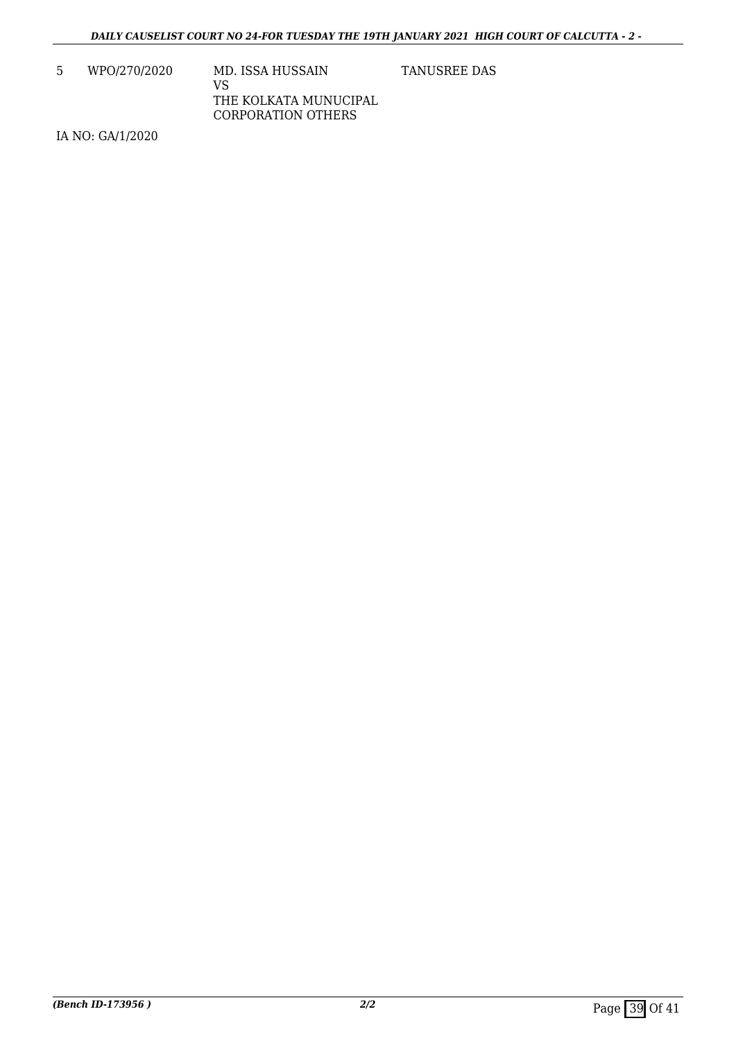5 WPO/270/2020 MD. ISSA HUSSAIN VS THE KOLKATA MUNUCIPAL CORPORATION OTHERS

TANUSREE DAS

IA NO: GA/1/2020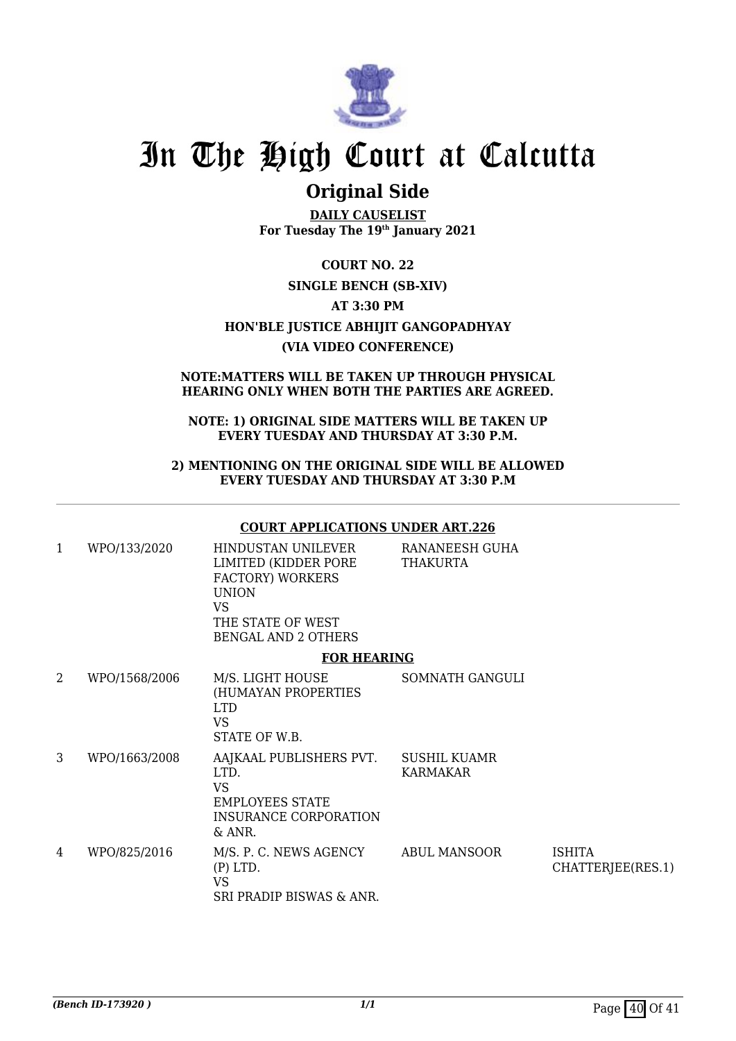

### **Original Side**

**DAILY CAUSELIST For Tuesday The 19th January 2021**

**COURT NO. 22 SINGLE BENCH (SB-XIV) AT 3:30 PM HON'BLE JUSTICE ABHIJIT GANGOPADHYAY (VIA VIDEO CONFERENCE)**

### **NOTE:MATTERS WILL BE TAKEN UP THROUGH PHYSICAL HEARING ONLY WHEN BOTH THE PARTIES ARE AGREED.**

### **NOTE: 1) ORIGINAL SIDE MATTERS WILL BE TAKEN UP EVERY TUESDAY AND THURSDAY AT 3:30 P.M.**

### **2) MENTIONING ON THE ORIGINAL SIDE WILL BE ALLOWED EVERY TUESDAY AND THURSDAY AT 3:30 P.M**

### **COURT APPLICATIONS UNDER ART.226**

| 1 | WPO/133/2020  | HINDUSTAN UNILEVER<br>LIMITED (KIDDER PORE<br><b>FACTORY) WORKERS</b><br><b>UNION</b><br>VS.<br>THE STATE OF WEST<br><b>BENGAL AND 2 OTHERS</b> | RANANEESH GUHA<br><b>THAKURTA</b> |                                    |
|---|---------------|-------------------------------------------------------------------------------------------------------------------------------------------------|-----------------------------------|------------------------------------|
|   |               | <b>FOR HEARING</b>                                                                                                                              |                                   |                                    |
| 2 | WPO/1568/2006 | M/S. LIGHT HOUSE<br>(HUMAYAN PROPERTIES<br><b>LTD</b><br><b>VS</b><br>STATE OF W.B.                                                             | SOMNATH GANGULI                   |                                    |
| 3 | WPO/1663/2008 | AAJKAAL PUBLISHERS PVT.<br>LTD.<br><b>VS</b><br><b>EMPLOYEES STATE</b><br>INSURANCE CORPORATION<br>& ANR.                                       | <b>SUSHIL KUAMR</b><br>KARMAKAR   |                                    |
| 4 | WPO/825/2016  | M/S. P. C. NEWS AGENCY<br>$(P)$ LTD.<br><b>VS</b><br>SRI PRADIP BISWAS & ANR.                                                                   | <b>ABUL MANSOOR</b>               | <b>ISHITA</b><br>CHATTERJEE(RES.1) |